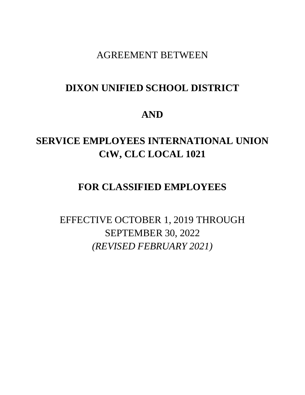AGREEMENT BETWEEN

# **DIXON UNIFIED SCHOOL DISTRICT**

# **AND**

# **SERVICE EMPLOYEES INTERNATIONAL UNION CtW, CLC LOCAL 1021**

# **FOR CLASSIFIED EMPLOYEES**

EFFECTIVE OCTOBER 1, 2019 THROUGH SEPTEMBER 30, 2022 *(REVISED FEBRUARY 2021)*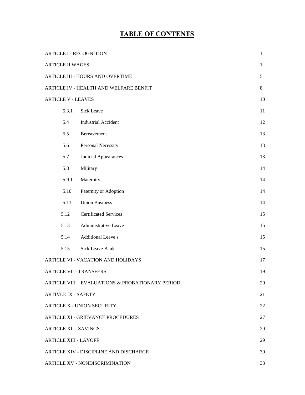# **TABLE OF CONTENTS**

|                            | <b>ARTICLE I - RECOGNITION</b>                              | $\mathbf{1}$ |  |  |  |
|----------------------------|-------------------------------------------------------------|--------------|--|--|--|
| <b>ARTICLE II WAGES</b>    |                                                             | $\mathbf{1}$ |  |  |  |
|                            | ARTICLE III - HOURS AND OVERTIME                            | 5            |  |  |  |
|                            | ARTICLE IV - HEALTH AND WELFARE BENFIT                      | 8            |  |  |  |
| <b>ARTICLE V - LEAVES</b>  |                                                             |              |  |  |  |
| 5.3.1                      | Sick Leave                                                  | 11           |  |  |  |
| 5.4                        | <b>Industrial Accident</b>                                  | 12           |  |  |  |
| 5.5                        | Bereavement                                                 | 13           |  |  |  |
| 5.6                        | Personal Necessity                                          | 13           |  |  |  |
| 5.7                        | Judicial Appearances                                        | 13           |  |  |  |
| 5.8                        | Military                                                    | 14           |  |  |  |
| 5.9.1                      | Maternity                                                   | 14           |  |  |  |
| 5.10                       | Paternity or Adoption                                       | 14           |  |  |  |
| 5.11                       | <b>Union Business</b>                                       | 14           |  |  |  |
| 5.12                       | <b>Certificated Services</b>                                | 15           |  |  |  |
| 5.13                       | Administrative Leave                                        | 15           |  |  |  |
| 5.14                       | <b>Additional Leave s</b>                                   | 15           |  |  |  |
| 5.15                       | Sick Leave Bank                                             | 15           |  |  |  |
|                            | ARTICLE VI - VACATION AND HOLIDAYS                          | 17           |  |  |  |
|                            | <b>ARTICLE VII - TRANSFERS</b>                              | 19           |  |  |  |
|                            | <b>ARTICLE VIII – EVALUATIONS &amp; PROBATIONARY PERIOD</b> | 20           |  |  |  |
| <b>ARTIVLE IX - SAFETY</b> |                                                             | 21           |  |  |  |
|                            | <b>ARTICLE X - UNION SECURITY</b>                           | 22           |  |  |  |
|                            | <b>ARTICLE XI - GRIEVANCE PROCEDURES</b>                    | 27           |  |  |  |
|                            | <b>ARTICLE XII - SAVINGS</b>                                | 29           |  |  |  |
|                            | <b>ARTICLE XIII - LAYOFF</b>                                | 29           |  |  |  |
|                            | ARTICLE XIV - DISCIPLINE AND DISCHARGE                      | 30           |  |  |  |
|                            | ARTICLE XV - NONDISCRIMINATION                              | 33           |  |  |  |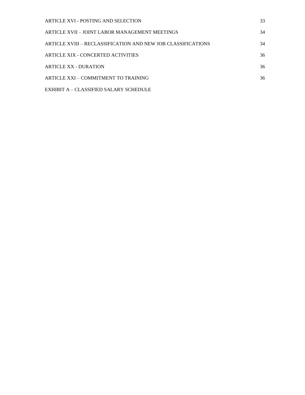| ARTICLE XVI - POSTING AND SELECTION                          | 33 |
|--------------------------------------------------------------|----|
| ARTICLE XVII - JOINT LABOR MANAGEMENT MEETINGS               | 34 |
| ARTICLE XVIII – RECLASSIFICATION AND NEW JOB CLASSIFICATIONS | 34 |
| ARTICLE XIX - CONCERTED ACTIVITIES                           | 36 |
| <b>ARTICLE XX - DURATION</b>                                 | 36 |
| ARTICLE XXI – COMMITMENT TO TRAINING                         | 36 |
| EXHIBIT A – CLASSIFIED SALARY SCHEDULE                       |    |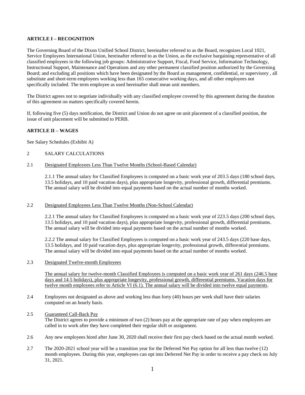# **ARTICLE I – RECOGNITION**

The Governing Board of the Dixon Unified School District, hereinafter referred to as the Board, recognizes Local 1021, Service Employees International Union, hereinafter referred to as the Union, as the exclusive bargaining representative of all classified employees in the following job groups: Administrative Support, Fiscal, Food Service, Information Technology, Instructional Support, Maintenance and Operations and any other permanent classified position authorized by the Governing Board; and excluding all positions which have been designated by the Board as management, confidential, or supervisory , all substitute and short-term employees working less than 165 consecutive working days, and all other employees not specifically included. The term employee as used hereinafter shall mean unit members.

The District agrees not to negotiate individually with any classified employee covered by this agreement during the duration of this agreement on matters specifically covered herein.

If, following five (5) days notification, the District and Union do not agree on unit placement of a classified position, the issue of unit placement will be submitted to PERB.

# **ARTICLE II – WAGES**

See Salary Schedules (Exhibit A)

# 2 SALARY CALCULATIONS

## 2.1 Designated Employees Less Than Twelve Months (School-Based Calendar)

2.1.1 The annual salary for Classified Employees is computed on a basic work year of 203.5 days (180 school days, 13.5 holidays, and 10 paid vacation days), plus appropriate longevity, professional growth, differential premiums. The annual salary will be divided into equal payments based on the actual number of months worked.

# 2.2 Designated Employees Less Than Twelve Months (Non-School Calendar)

2.2.1 The annual salary for Classified Employees is computed on a basic work year of 223.5 days (200 school days, 13.5 holidays, and 10 paid vacation days), plus appropriate longevity, professional growth, differential premiums. The annual salary will be divided into equal payments based on the actual number of months worked.

2.2.2 The annual salary for Classified Employees is computed on a basic work year of 243.5 days (220 base days, 13.5 holidays, and 10 paid vacation days, plus appropriate longevity, professional growth, differential premiums. The annual salary will be divided into equal payments based on the actual number of months worked.

#### 2.3 Designated Twelve-month Employees

The annual salary for twelve-month Classified Employees is computed on a basic work year of 261 days (246.5 base days and 14.5 holidays), plus appropriate longevity, professional growth, differential premiums. Vacation days for twelve month employees refer to Article VI (6.1). The annual salary will be divided into twelve equal payments.

2.4 Employees not designated as above and working less than forty (40) hours per week shall have their salaries computed on an hourly basis.

#### 2.5 Guaranteed Call-Back Pay The District agrees to provide a minimum of two (2) hours pay at the appropriate rate of pay when employees are called in to work after they have completed their regular shift or assignment.

- 2.6 Any new employees hired after June 30, 2020 shall receive their first pay check based on the actual month worked.
- 2.7 The 2020-2021 school year will be a transition year for the Deferred Net Pay option for all less than twelve (12) month employees. During this year, employees can opt into Deferred Net Pay in order to receive a pay check on July 31, 2021.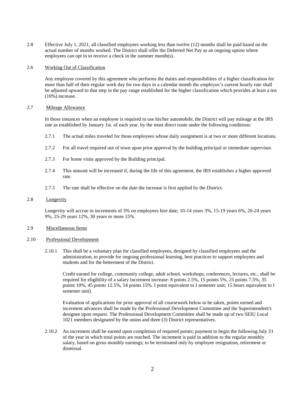2.8 Effective July 1, 2021, all classified employees working less than twelve (12) months shall be paid based on the actual number of months worked. The District shall offer the Deferred Net Pay as an ongoing option where employees can opt in to receive a check in the summer month(s).

#### 2.6 Working Out of Classification

Any employee covered by this agreement who performs the duties and responsibilities of a higher classification for more than half of their regular work day for two days in a calendar month the employee's current hourly rate shall be adjusted upward to that step in the pay range established for the higher classification which provides at least a ten (10%) increase.

#### 2.7 Mileage Allowance

In those instances when an employee is required to use his/her automobile, the District will pay mileage at the IRS rate as established by January 1st. of each year, by the most direct route under the following conditions:

- 2.7.1 The actual miles traveled for those employees whose daily assignment is at two or more different locations.
- 2.7.2 For all travel required out of town upon prior approval by the building principal or immediate supervisor.
- 2.7.3 For home visits approved by the Building principal.
- 2.7.4 This amount will be increased if, during the life of this agreement, the IRS establishes a higher approved rate.
- 2.7.5 The rate shall be effective on the date the increase is first applied by the District.

#### 2.8 Longevity

Longevity will accrue in increments of 3% on employees hire date; 10-14 years 3%, 15-19 years 6%, 20-24 years 9%, 25-29 years 12%, 30 years or more 15%.

#### 2.9 Miscellaneous Items

#### 2.10 Professional Development

2.10.1 This shall be a voluntary plan for classified employees, designed by classified employees and the administration, to provide for ongoing professional learning, best practices to support employees and students and for the betterment of the District.

Credit earned for college, community college, adult school, workshops, conferences, lectures, etc., shall be required for eligibility of a salary increment increase: 8 points 2.5%, 15 points 5%, 25 points 7.5%, 35 points 10%, 45 points 12.5%, 54 points 15%. I point equivalent to I semester unit; 15 hours equivalent to I semester unit).

Evaluation of applications for prior approval of all coursework below to be taken, points earned and increment advances shall be made by the Professional Development Committee and the Superintendent's designee upon request. The Professional Development Committee shall be made up of two SEIU Local 1021 members designated by the union and three (3) District representatives.

2.10.2 An increment shall be earned upon completion of required points; payment to begin the following July 31 of the year in which total points are reached. The increment is paid in addition to the regular monthly salary, based on gross monthly earnings; to be terminated only by employee resignation, retirement or dismissal.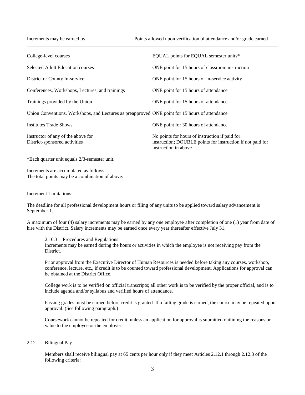| College-level courses                                                                          | EQUAL points for EQUAL semester units*                                                                                               |
|------------------------------------------------------------------------------------------------|--------------------------------------------------------------------------------------------------------------------------------------|
| <b>Selected Adult Education courses</b>                                                        | ONE point for 15 hours of classroom instruction                                                                                      |
| District or County In-service                                                                  | ONE point for 15 hours of in-service activity                                                                                        |
| Conferences, Workshops, Lectures, and trainings                                                | ONE point for 15 hours of attendance                                                                                                 |
| Trainings provided by the Union                                                                | ONE point for 15 hours of attendance                                                                                                 |
| Union Conventions, Workshops, and Lectures as preapproved ONE point for 15 hours of attendance |                                                                                                                                      |
| Institutes Trade Shows                                                                         | ONE point for 30 hours of attendance                                                                                                 |
| Instructor of any of the above for<br>District-sponsored activities                            | No points for hours of instruction if paid for<br>instruction; DOUBLE points for instruction if not paid for<br>instruction in above |

\*Each quarter unit equals 2/3-semester unit.

Increments are accumulated as follows: The total points may be a combination of above:

#### Increment Limitations:

The deadline for all professional development hours or filing of any units to be applied toward salary advancement is September 1.

A maximum of four (4) salary increments may be earned by any one employee after completion of one (1) year from date of hire with the District. Salary increments may be earned once every year thereafter effective July 31.

2.10.3 Procedures and Regulations

Increments may be earned during the hours or activities in which the employee is not receiving pay from the **District** 

Prior approval from the Executive Director of Human Resources is needed before taking any courses, workshop, conference, lecture, etc., if credit is to be counted toward professional development. Applications for approval can be obtained at the District Office.

College work is to be verified on official transcripts; all other work is to be verified by the proper official, and is to include agenda and/or syllabus and verified hours of attendance.

Passing grades must be earned before credit is granted. If a failing grade is earned, the course may be repeated upon approval. (See following paragraph.)

Coursework cannot be repeated for credit, unless an application for approval is submitted outlining the reasons or value to the employee or the employer.

# 2.12 Bilingual Pay

Members shall receive bilingual pay at 65 cents per hour only if they meet Articles 2.12.1 through 2.12.3 of the following criteria: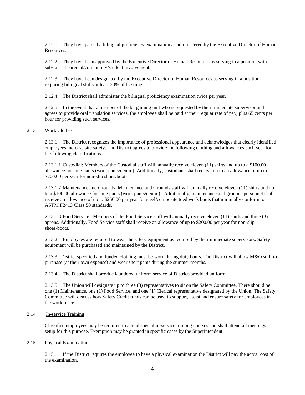2.12.1 They have passed a bilingual proficiency examination as administered by the Executive Director of Human Resources.

2.12.2 They have been approved by the Executive Director of Human Resources as serving in a position with substantial parental/community/student involvement.

2.12.3 They have been designated by the Executive Director of Human Resources as serving in a position requiring bilingual skills at least 20% of the time.

2.12.4 The District shall administer the bilingual proficiency examination twice per year.

2.12.5 In the event that a member of the bargaining unit who is requested by their immediate supervisor and agrees to provide oral translation services, the employee shall be paid at their regular rate of pay, plus 65 cents per hour for providing such services.

#### 2.13 Work Clothes

2.13.1 The District recognizes the importance of professional appearance and acknowledges that clearly identified employees increase site safety. The District agrees to provide the following clothing and allowances each year for the following classifications.

2.13.1.1 Custodial: Members of the Custodial staff will annually receive eleven (11) shirts and up to a \$100.00 allowance for long pants (work pants/denim). Additionally, custodians shall receive up to an allowance of up to \$200.00 per year for non-slip shoes/boots.

2.13.1.2 Maintenance and Grounds: Maintenance and Grounds staff will annually receive eleven (11) shirts and up to a \$100.00 allowance for long pants (work pants/denim). Additionally, maintenance and grounds personnel shall receive an allowance of up to \$250.00 per year for steel/composite toed work boots that minimally conform to ASTM F2413 Class 50 standards.

2.13.1.3 Food Service: Members of the Food Service staff will annually receive eleven (11) shirts and three (3) aprons. Additionally, Food Service staff shall receive an allowance of up to \$200.00 per year for non-slip shoes/boots.

2.13.2 Employees are required to wear the safety equipment as required by their immediate supervisors. Safety equipment will be purchased and maintained by the District.

2.13.3 District specified and funded clothing must be worn during duty hours. The District will allow M&O staff to purchase (at their own expense) and wear short pants during the summer months.

2.13.4 The District shall provide laundered uniform service of District-provided uniform.

2.13.5 The Union will designate up to three (3) representatives to sit on the Safety Committee. There should be one (1) Maintenance, one (1) Food Service, and one (1) Clerical representative designated by the Union. The Safety Committee will discuss how Safety Credit funds can be used to support, assist and ensure safety for employees in the work place.

# 2.14 In-service Training

Classified employees may be required to attend special in-service training courses and shall attend all meetings setup for this purpose. Exemption may be granted in specific cases by the Superintendent.

#### 2.15 Physical Examination

2.15.1 If the District requires the employee to have a physical examination the District will pay the actual cost of the examination.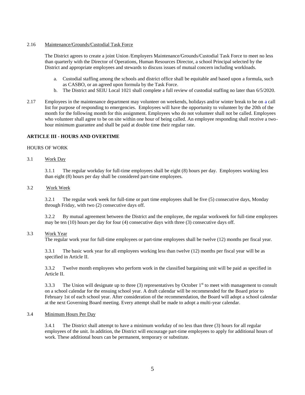#### 2.16 Maintenance/Grounds/Custodial Task Force

The District agrees to create a joint Union /Employers Maintenance/Grounds/Custodial Task Force to meet no less than quarterly with the Director of Operations, Human Resources Director, a school Principal selected by the District and appropriate employees and stewards to discuss issues of mutual concern including workloads.

- a. Custodial staffing among the schools and district office shall be equitable and based upon a formula, such as CASBO, or an agreed upon formula by the Task Force.
- b. The District and SEIU Local 1021 shall complete a full review of custodial staffing no later than 6/5/2020.
- 2.17 Employees in the maintenance department may volunteer on weekends, holidays and/or winter break to be on a call list for purpose of responding to emergencies. Employees will have the opportunity to volunteer by the 20th of the month for the following month for this assignment. Employees who do not volunteer shall not be called. Employees who volunteer shall agree to be on site within one hour of being called. An employee responding shall receive a twohour minimum guarantee and shall be paid at double time their regular rate.

#### **ARTICLE III - HOURS AND OVERTIME**

#### HOURS OF WORK

3.1 Work Day

3.1.1 The regular workday for full-time employees shall be eight (8) hours per day. Employees working less than eight (8) hours per day shall be considered part-time employees.

#### 3.2 Work Week

3.2.1 The regular work week for full-time or part time employees shall be five (5) consecutive days, Monday through Friday, with two (2) consecutive days off.

3.2.2 By mutual agreement between the District and the employee, the regular workweek for full-time employees may be ten (10) hours per day for four (4) consecutive days with three (3) consecutive days off.

# 3.3 Work Year

The regular work year for full-time employees or part-time employees shall be twelve (12) months per fiscal year.

3.3.1 The basic work year for all employees working less than twelve (12) months per fiscal year will be as specified in Article II.

3.3.2 Twelve month employees who perform work in the classified bargaining unit will be paid as specified in Article II.

3.3.3 The Union will designate up to three (3) representatives by October  $1<sup>st</sup>$  to meet with management to consult on a school calendar for the ensuing school year. A draft calendar will be recommended for the Board prior to February 1st of each school year. After consideration of the recommendation, the Board will adopt a school calendar at the next Governing Board meeting. Every attempt shall be made to adopt a multi-year calendar.

# 3.4 Minimum Hours Per Day

3.4.1 The District shall attempt to have a minimum workday of no less than three (3) hours for all regular employees of the unit. In addition, the District will encourage part-time employees to apply for additional hours of work. These additional hours can be permanent, temporary or substitute.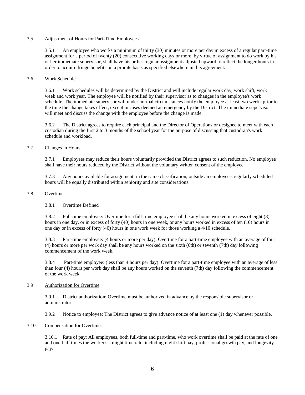#### 3.5 Adjustment of Hours for Part-Time Employees

3.5.1 An employee who works a minimum of thirty (30) minutes or more per day in excess of a regular part-time assignment for a period of twenty (20) consecutive working days or more, by virtue of assignment to do work by his or her immediate supervisor, shall have his or her regular assignment adjusted upward to reflect the longer hours in order to acquire fringe benefits on a prorate basis as specified elsewhere in this agreement.

#### 3.6 Work Schedule

3.6.1 Work schedules will be determined by the District and will include regular work day, work shift, work week and work year. The employee will be notified by their supervisor as to changes in the employee's work schedule. The immediate supervisor will under normal circumstances notify the employee at least two weeks prior to the time the change takes effect, except in cases deemed an emergency by the District. The immediate supervisor will meet and discuss the change with the employee before the change is made.

3.6.2 The District agrees to require each principal and the Director of Operations or designee to meet with each custodian during the first 2 to 3 months of the school year for the purpose of discussing that custodian's work schedule and workload.

#### 3.7 Changes in Hours

3.7.1 Employees may reduce their hours voluntarily provided the District agrees to such reduction. No employee shall have their hours reduced by the District without the voluntary written consent of the employee.

3.7.3 Any hours available for assignment, in the same classification, outside an employee's regularly scheduled hours will be equally distributed within seniority and site considerations.

#### 3.8 Overtime

#### 3.8.1 Overtime Defined

3.8.2 Full-time employee: Overtime for a full-time employee shall be any hours worked in excess of eight (8) hours in one day, or in excess of forty (40) hours in one week, or any hours worked in excess of ten (10) hours in one day or in excess of forty (40) hours in one work week for those working a 4/10 schedule.

3.8.3 Part-time employee: (4 hours or more per day): Overtime for a part-time employee with an average of four (4) hours or more per work day shall be any hours worked on the sixth (6th) or seventh (7th) day following commencement of the work week.

3.8.4 Part-time employee: (less than 4 hours per day): Overtime for a part-time employee with an average of less than four (4) hours per work day shall be any hours worked on the seventh (7th) day following the commencement of the work week.

#### 3.9 Authorization for Overtime

3.9.1 District authorization: Overtime must be authorized in advance by the responsible supervisor or administrator.

3.9.2 Notice to employee: The District agrees to give advance notice of at least one (1) day whenever possible.

#### 3.10 Compensation for Overtime:

3.10.1 Rate of pay: All employees, both full-time and part-time, who work overtime shall be paid at the rate of one and one-half times the worker's straight time rate, including night shift pay, professional growth pay, and longevity pay.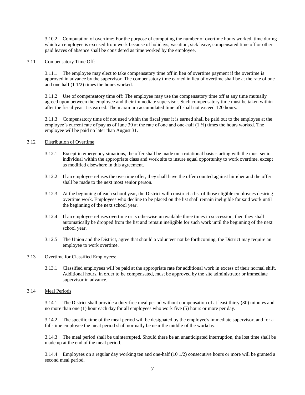3.10.2 Computation of overtime: For the purpose of computing the number of overtime hours worked, time during which an employee is excused from work because of holidays, vacation, sick leave, compensated time off or other paid leaves of absence shall be considered as time worked by the employee.

#### 3.11 Compensatory Time Off:

3.11.1 The employee may elect to take compensatory time off in lieu of overtime payment if the overtime is approved in advance by the supervisor. The compensatory time earned in lieu of overtime shall be at the rate of one and one half (1 1/2) times the hours worked.

3.11.2 Use of compensatory time off: The employee may use the compensatory time off at any time mutually agreed upon between the employee and their immediate supervisor. Such compensatory time must be taken within after the fiscal year it is earned. The maximum accumulated time off shall not exceed 120 hours.

3.11.3 Compensatory time off not used within the fiscal year it is earned shall be paid out to the employee at the employee's current rate of pay as of June 30 at the rate of one and one-half  $(1 \frac{1}{2})$  times the hours worked. The employee will be paid no later than August 31.

#### 3.12 Distribution of Overtime

- 3.12.1 Except in emergency situations, the offer shall be made on a rotational basis starting with the most senior individual within the appropriate class and work site to insure equal opportunity to work overtime, except as modified elsewhere in this agreement.
- 3.12.2 If an employee refuses the overtime offer, they shall have the offer counted against him/her and the offer shall be made to the next most senior person.
- 3.12.3 At the beginning of each school year, the District will construct a list of those eligible employees desiring overtime work. Employees who decline to be placed on the list shall remain ineligible for said work until the beginning of the next school year.
- 3.12.4 If an employee refuses overtime or is otherwise unavailable three times in succession, then they shall automatically be dropped from the list and remain ineligible for such work until the beginning of the next school year.
- 3.12.5 The Union and the District, agree that should a volunteer not be forthcoming, the District may require an employee to work overtime.

#### 3.13 Overtime for Classified Employees:

3.13.1 Classified employees will be paid at the appropriate rate for additional work in excess of their normal shift. Additional hours, in order to be compensated, must be approved by the site administrator or immediate supervisor in advance.

# 3.14 Meal Periods

3.14.1 The District shall provide a duty-free meal period without compensation of at least thirty (30) minutes and no more than one (1) hour each day for all employees who work five (5) hours or more per day.

3.14.2 The specific time of the meal period will be designated by the employee's immediate supervisor, and for a full-time employee the meal period shall normally be near the middle of the workday.

3.14.3 The meal period shall be uninterrupted. Should there be an unanticipated interruption, the lost time shall be made up at the end of the meal period.

3.14.4 Employees on a regular day working ten and one-half (10 1/2) consecutive hours or more will be granted a second meal period.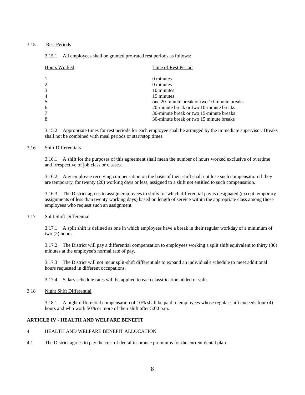# 3.15 Rest Periods

#### 3.15.1 All employees shall be granted pro-rated rest periods as follows:

| Hours Worked   | Time of Rest Period                         |
|----------------|---------------------------------------------|
|                | 0 minutes                                   |
| $\overline{2}$ | 0 minutes                                   |
| 3              | 10 minutes                                  |
| $\overline{4}$ | 15 minutes                                  |
| 5              | one 20-minute break or two 10-minute breaks |
| 6              | 20-minute break or two 10-minute breaks     |
| 7              | 30-minute break or two 15-minute breaks     |
| 8              | 30-minute break or two 15 minute breaks     |

3.15.2 Appropriate times for rest periods for each employee shall be arranged by the immediate supervisor. Breaks shall not be combined with meal periods or start/stop times.

## 3.16 Shift Differentials

3.16.1 A shift for the purposes of this agreement shall mean the number of hours worked exclusive of overtime and irrespective of job class or classes.

3.16.2 Any employee receiving compensation on the basis of their shift shall not lose such compensation if they are temporary, for twenty (20) working days or less, assigned to a shift not entitled to such compensation.

3.16.3 The District agrees to assign employees to shifts for which differential pay is designated (except temporary assignments of less than twenty working days) based on length of service within the appropriate class among those employees who request such an assignment.

#### 3.17 Split Shift Differential

3.17.1 A split shift is defined as one in which employees have a break in their regular workday of a minimum of two (2) hours.

3.17.2 The District will pay a differential compensation to employees working a split shift equivalent to thirty (30) minutes at the employee's normal rate of pay.

3.17.3 The District will not incur split-shift differentials to expand an individual's schedule to meet additional hours requested in different occupations.

3.17.4 Salary schedule rates will be applied to each classification added or split.

#### 3.18 Night Shift Differential

3.18.1 A night differential compensation of 10% shall be paid to employees whose regular shift exceeds four (4) hours and who work 50% or more of their shift after 5:00 p.m.

# **ARTICLE IV - HEALTH AND WELFARE BENEFIT**

# 4 HEALTH AND WELFARE BENEFIT ALLOCATION

4.1 The District agrees to pay the cost of dental insurance premiums for the current dental plan.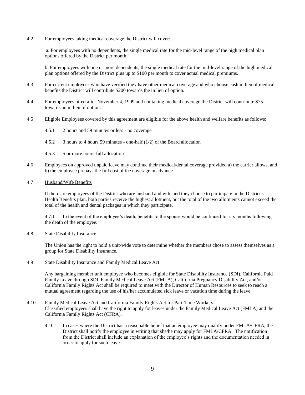4.2 For employees taking medical coverage the District will cover:

a. For employees with no dependents, the single medical rate for the mid-level range of the high medical plan options offered by the District per month.

b. For employees with one or more dependents, the single medical rate for the mid-level range of the high medical plan options offered by the District plus up to \$100 per month to cover actual medical premiums.

- 4.3 For current employees who have verified they have other medical coverage and who choose cash in lieu of medical benefits the District will contribute \$200 towards the in lieu of option.
- 4.4 For employees hired after November 4, 1999 and not taking medical coverage the District will contribute \$75 towards an in lieu of option.
- 4.5 Eligible Employees covered by this agreement are eligible for the above health and welfare benefits as follows:
	- 4.5.1 2 hours and 59 minutes or less no coverage
	- 4.5.2 3 hours to 4 hours 59 minutes one-half (1/2) of the Board allocation
	- 4.5.3 5 or more hours-full allocation
- 4.6 Employees on approved unpaid leave may continue their medical/dental coverage provided a) the carrier allows, and b) the employee prepays the full cost of the coverage in advance.

#### 4.7 Husband/Wife Benefits

If there are employees of the District who are husband and wife and they choose to participate in the District's Health Benefits plan, both parties receive the highest allotment, but the total of the two allotments cannot exceed the total of the health and dental packages in which they participate.

4.7.1 In the event of the employee's death, benefits to the spouse would be continued for six months following the death of the employee.

#### 4.8 State Disability Insurance

The Union has the right to hold a unit-wide vote to determine whether the members chose to assess themselves as a group for State Disability Insurance.

4.9 State Disability Insurance and Family Medical Leave Act

Any bargaining member unit employee who becomes eligible for State Disability Insurance (SDI), California Paid Family Leave through SDI, Family Medical Leave Act (FMLA), California Pregnancy Disability Act, and/or California Family Rights Act shall be required to meet with the Director of Human Resources to seek to reach a mutual agreement regarding the use of his/her accumulated sick leave or vacation time during the leave.

# 4.10 Family Medical Leave Act and California Family Rights Act for Part-Time Workers Classified employees shall have the right to apply for leaves under the Family Medical Leave Act (FMLA) and the California Family Rights Act (CFRA).

4.10.1 In cases where the District has a reasonable belief that an employee may qualify under FMLA/CFRA, the District shall notify the employee in writing that she/he may apply for FMLA/CFRA. The notification from the District shall include an explanation of the employee's rights and the documentation needed in order to apply for such leave.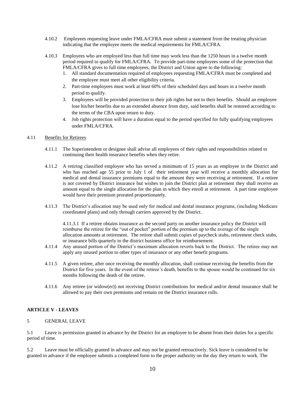- 4.10.2 Employees requesting leave under FMLA/CFRA must submit a statement from the treating physician indicating that the employee meets the medical requirements for FMLA/CFRA.
- 4.10.3 Employees who are employed less than full time may work less than the 1250 hours in a twelve month period required to qualify for FMLA/CFRA. To provide part-time employees some of the protection that FMLA/CFRA gives to full time employees, the District and Union agree to the following:
	- 1. All standard documentation required of employees requesting FMLA/CFRA must be completed and the employee must meet all other eligibility criteria.
	- 2. Part-time employees must work at least 60% of their scheduled days and hours in a twelve month period to qualify.
	- 3. Employees will be provided protection to their job rights but not to their benefits. Should an employee lose his/her benefits due to an extended absence from duty, said benefits shall be restored according to the terms of the CBA upon return to duty.
	- 4. Job rights protection will have a duration equal to the period specified for fully qualifying employees under FMLA/CFRA.

## 4.11 Benefits for Retirees

- 4.11.1 The Superintendent or designee shall advise all employees of their rights and responsibilities related to continuing their health insurance benefits when they retire.
- 4.11.2 A retiring classified employee who has served a minimum of 15 years as an employee in the District and who has reached age 55 prior to July 1 of their retirement year will receive a monthly allocation for medical and dental insurance premiums equal to the amount they were receiving at retirement. If a retiree is not covered by District insurance but wishes to join the District plan at retirement they shall receive an amount equal to the single allocation for the plan in which they enroll at retirement. A part time employee would have their premium prorated proportionately.
- 4.11.3 The District's allocation may be used only for medical and dental insurance programs, (including Medicare coordinated plans) and only through carriers approved by the District.

4.11.3.1 If a retiree obtains insurance as the second party on another insurance policy the District will reimburse the retiree for the "out of pocket" portion of the premium up to the average of the single allocation amounts at retirement. The retiree shall submit copies of paycheck stubs, retirement check stubs, or insurance bills quarterly to the district business office for reimbursement.

- 4.11.4 Any unused portion of the District's maximum allocation reverts back to the District. The retiree may not apply any unused portion to other types of insurance or any other benefit programs.
- 4.11.5 A given retiree, after once receiving the monthly allocation, shall continue receiving the benefits from the District for five years. In the event of the retiree's death, benefits to the spouse would be continued for six months following the death of the retiree.
- 4.11.6 Any retiree (or widow(er)) not receiving District contributions for medical and/or dental insurance shall be allowed to pay their own premiums and remain on the District insurance rolls.

# **ARTICLE V - LEAVES**

# 5 GENERAL LEAVE

5.1 Leave is permission granted in advance by the District for an employee to be absent from their duties for a specific period of time.

5.2 Leave must be officially granted in advance and may not be granted retroactively. Sick leave is considered to be granted in advance if the employee submits a completed form to the proper authority on the day they return to work. The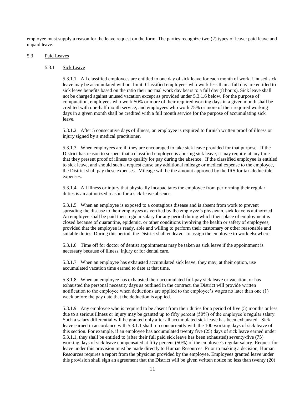employee must supply a reason for the leave request on the form. The parties recognize two (2) types of leave: paid leave and unpaid leave.

#### 5.3 Paid Leaves

#### 5.3.1 Sick Leave

5.3.1.1 All classified employees are entitled to one day of sick leave for each month of work. Unused sick leave may be accumulated without limit. Classified employees who work less than a full day are entitled to sick leave benefits based on the ratio their normal work day bears to a full day (8 hours). Sick leave shall not be charged against unused vacation except as provided under 5.3.1.6 below. For the purpose of computation, employees who work 50% or more of their required working days in a given month shall be credited with one-half month service, and employees who work 75% or more of their required working days in a given month shall be credited with a full month service for the purpose of accumulating sick leave.

5.3.1.2 After 5 consecutive days of illness, an employee is required to furnish written proof of illness or injury signed by a medical practitioner.

5.3.1.3 When employees are ill they are encouraged to take sick leave provided for that purpose. If the District has reason to suspect that a classified employee is abusing sick leave, it may require at any time that they present proof of illness to qualify for pay during the absence. If the classified employee is entitled to sick leave, and should such a request cause any additional mileage or medical expense to the employee, the District shall pay these expenses. Mileage will be the amount approved by the IRS for tax-deductible expenses.

5.3.1.4 All illness or injury that physically incapacitates the employee from performing their regular duties is an authorized reason for a sick-leave absence.

5.3.1.5 When an employee is exposed to a contagious disease and is absent from work to prevent spreading the disease to their employees as verified by the employee's physician, sick leave is authorized. An employee shall be paid their regular salary for any period during which their place of employment is closed because of quarantine, epidemic, or other conditions involving the health or safety of employees, provided that the employee is ready, able and willing to perform their customary or other reasonable and suitable duties. During this period, the District shall endeavor to assign the employee to work elsewhere.

5.3.1.6 Time off for doctor of dentist appointments may be taken as sick leave if the appointment is necessary because of illness, injury or for dental care.

5.3.1.7 When an employee has exhausted accumulated sick leave, they may, at their option, use accumulated vacation time earned to date at that time.

5.3.1.8 When an employee has exhausted their accumulated full-pay sick leave or vacation, or has exhausted the personal necessity days as outlined in the contract, the District will provide written notification to the employee when deductions are applied to the employee's wages no later than one (1) week before the pay date that the deduction is applied.

5.3.1.9 Any employee who is required to be absent from their duties for a period of five (5) months or less due to a serious illness or injury may be granted up to fifty percent (50%) of the employee's regular salary. Such a salary differential will be granted only after all accumulated sick leave has been exhausted. Sick leave earned in accordance with 5.3.1.1 shall run concurrently with the 100 working days of sick leave of this section. For example, if an employee has accumulated twenty five (25) days of sick leave earned under 5.3.1.1, they shall be entitled to (after their full paid sick leave has been exhausted) seventy-five (75) working days of sick leave compensated at fifty percent (50%) of the employee's regular salary. Request for leave under this provision must be made directly to Human Resources. Prior to making a decision, Human Resources requires a report from the physician provided by the employee. Employees granted leave under this provision shall sign an agreement that the District will be given written notice no less than twenty (20)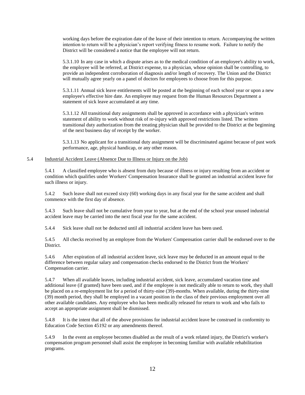working days before the expiration date of the leave of their intention to return. Accompanying the written intention to return will be a physician's report verifying fitness to resume work. Failure to notify the District will be considered a notice that the employee will not return.

5.3.1.10 In any case in which a dispute arises as to the medical condition of an employee's ability to work, the employee will be referred, at District expense, to a physician, whose opinion shall be controlling, to provide an independent corroboration of diagnosis and/or length of recovery. The Union and the District will mutually agree yearly on a panel of doctors for employees to choose from for this purpose.

5.3.1.11 Annual sick leave entitlements will be posted at the beginning of each school year or upon a new employee's effective hire date. An employee may request from the Human Resources Department a statement of sick leave accumulated at any time.

5.3.1.12 All transitional duty assignments shall be approved in accordance with a physician's written statement of ability to work without risk of re-injury with approved restrictions listed. The written transitional duty authorization from the treating physician shall be provided to the District at the beginning of the next business day of receipt by the worker.

5.3.1.13 No applicant for a transitional duty assignment will be discriminated against because of past work performance, age, physical handicap, or any other reason.

## 5.4 Industrial Accident Leave (Absence Due to Illness or Injury on the Job)

5.4.1 A classified employee who is absent from duty because of illness or injury resulting from an accident or condition which qualifies under Workers' Compensation Insurance shall be granted an industrial accident leave for such illness or injury.

5.4.2 Such leave shall not exceed sixty (60) working days in any fiscal year for the same accident and shall commence with the first day of absence.

5.4.3 Such leave shall not be cumulative from year to year, but at the end of the school year unused industrial accident leave may be carried into the next fiscal year for the same accident.

5.4.4 Sick leave shall not be deducted until all industrial accident leave has been used.

5.4.5 All checks received by an employee from the Workers' Compensation carrier shall be endorsed over to the District.

5.4.6 After expiration of all industrial accident leave, sick leave may be deducted in an amount equal to the difference between regular salary and compensation checks endorsed to the District from the Workers' Compensation carrier.

5.4.7 When all available leaves, including industrial accident, sick leave, accumulated vacation time and additional leave (if granted) have been used, and if the employee is not medically able to return to work, they shall be placed on a re-employment list for a period of thirty-nine (39)-months. When available, during the thirty-nine (39) month period, they shall be employed in a vacant position in the class of their previous employment over all other available candidates. Any employee who has been medically released for return to work and who fails to accept an appropriate assignment shall be dismissed.

5.4.8 It is the intent that all of the above provisions for industrial accident leave be construed in conformity to Education Code Section 45192 or any amendments thereof.

5.4.9 In the event an employee becomes disabled as the result of a work related injury, the District's worker's compensation program personnel shall assist the employee in becoming familiar with available rehabilitation programs.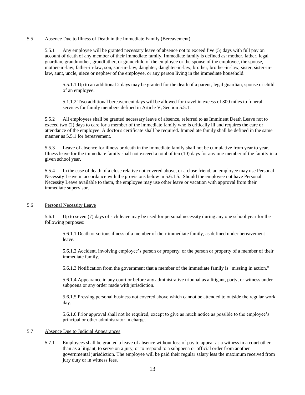#### 5.5 Absence Due to Illness of Death in the Immediate Family (Bereavement)

5.5.1 Any employee will be granted necessary leave of absence not to exceed five (5) days with full pay on account of death of any member of their immediate family. Immediate family is defined as: mother, father, legal guardian, grandmother, grandfather, or grandchild of the employee or the spouse of the employee, the spouse, mother-in-law, father-in-law, son, son-in- law, daughter, daughter-in-law, brother, brother-in-law, sister, sister-inlaw, aunt, uncle, niece or nephew of the employee, or any person living in the immediate household.

5.5.1.1 Up to an additional 2 days may be granted for the death of a parent, legal guardian, spouse or child of an employee.

5.1.1.2 Two additional bereavement days will be allowed for travel in excess of 300 miles to funeral services for family members defined in Article V, Section 5.5.1.

5.5.2 All employees shall be granted necessary leave of absence, referred to as Imminent Death Leave not to exceed two (2) days to care for a member of the immediate family who is critically ill and requires the care or attendance of the employee. A doctor's certificate shall be required. Immediate family shall be defined in the same manner as 5.5.1 for bereavement.

5.5.3 Leave of absence for illness or death in the immediate family shall not be cumulative from year to year. Illness leave for the immediate family shall not exceed a total of ten (10) days for any one member of the family in a given school year.

5.5.4 In the case of death of a close relative not covered above, or a close friend, an employee may use Personal Necessity Leave in accordance with the provisions below in 5.6.1.5. Should the employee not have Personal Necessity Leave available to them, the employee may use other leave or vacation with approval from their immediate supervisor.

# 5.6 Personal Necessity Leave

5.6.1 Up to seven (7) days of sick leave may be used for personal necessity during any one school year for the following purposes:

5.6.1.1 Death or serious illness of a member of their immediate family, as defined under bereavement leave.

5.6.1.2 Accident, involving employee's person or property, or the person or property of a member of their immediate family.

5.6.1.3 Notification from the government that a member of the immediate family is "missing in action."

5.6.1.4 Appearance in any court or before any administrative tribunal as a litigant, party, or witness under subpoena or any order made with jurisdiction.

5.6.1.5 Pressing personal business not covered above which cannot be attended to outside the regular work day.

5.6.1.6 Prior approval shall not be required, except to give as much notice as possible to the employee's principal or other administrator in charge.

#### 5.7 Absence Due to Judicial Appearances

5.7.1 Employees shall be granted a leave of absence without loss of pay to appear as a witness in a court other than as a litigant, to serve on a jury, or to respond to a subpoena or official order from another governmental jurisdiction. The employee will be paid their regular salary less the maximum received from jury duty or in witness fees.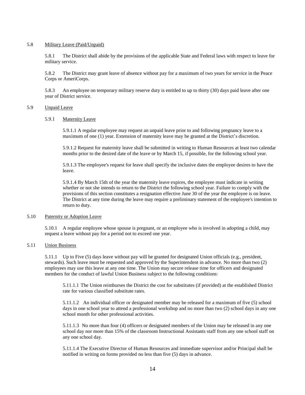#### 5.8 Military Leave (Paid/Unpaid)

5.8.1 The District shall abide by the provisions of the applicable State and Federal laws with respect to leave for military service.

5.8.2 The District may grant leave of absence without pay for a maximum of two years for service in the Peace Corps or AmeriCorps.

5.8.3 An employee on temporary military reserve duty is entitled to up to thirty (30) days paid leave after one year of District service.

# 5.9 Unpaid Leave

5.9.1 Maternity Leave

5.9.1.1 A regular employee may request an unpaid leave prior to and following pregnancy leave to a maximum of one (1) year. Extension of maternity leave may be granted at the District's discretion.

5.9.1.2 Request for maternity leave shall be submitted in writing to Human Resources at least two calendar months prior to the desired date of the leave or by March 15, if possible, for the following school year.

5.9.1.3 The employee's request for leave shall specify the inclusive dates the employee desires to have the leave.

5.9.1.4 By March 15th of the year the maternity leave expires, the employee must indicate in writing whether or not she intends to return to the District the following school year. Failure to comply with the provisions of this section constitutes a resignation effective June 30 of the year the employee is on leave. The District at any time during the leave may require a preliminary statement of the employee's intention to return to duty.

#### 5.10 Paternity or Adoption Leave

5.10.1 A regular employee whose spouse is pregnant, or an employee who is involved in adopting a child, may request a leave without pay for a period not to exceed one year.

#### 5.11 Union Business

5.11.1 Up to Five (5) days leave without pay will be granted for designated Union officials (e.g., president, stewards). Such leave must be requested and approved by the Superintendent in advance. No more than two (2) employees may use this leave at any one time. The Union may secure release time for officers and designated members for the conduct of lawful Union Business subject to the following conditions:

5.11.1.1 The Union reimburses the District the cost for substitutes (if provided) at the established District rate for various classified substitute rates.

5.11.1.2 An individual officer or designated member may be released for a maximum of five (5) school days in one school year to attend a professional workshop and no more than two  $(2)$  school days in any one school month for other professional activities.

5.11.1.3 No more than four (4) officers or designated members of the Union may be released in any one school day nor more than 15% of the classroom Instructional Assistants staff from any one school staff on any one school day.

5.11.1.4 The Executive Director of Human Resources and immediate supervisor and/or Principal shall be notified in writing on forms provided no less than five (5) days in advance.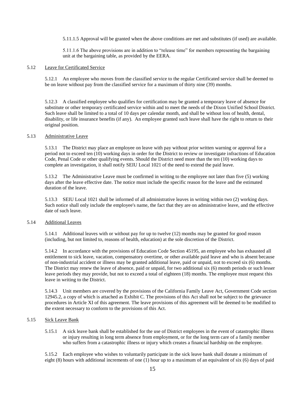5.11.1.5 Approval will be granted when the above conditions are met and substitutes (if used) are available.

5.11.1.6 The above provisions are in addition to "release time" for members representing the bargaining unit at the bargaining table, as provided by the EERA.

#### 5.12 Leave for Certificated Service

5.12.1 An employee who moves from the classified service to the regular Certificated service shall be deemed to be on leave without pay from the classified service for a maximum of thirty nine (39) months.

5.12.3 A classified employee who qualifies for certification may be granted a temporary leave of absence for substitute or other temporary certificated service within and to meet the needs of the Dixon Unified School District. Such leave shall be limited to a total of 10 days per calendar month, and shall be without loss of health, dental, disability, or life insurance benefits (if any). An employee granted such leave shall have the right to return to their original position.

## 5.13 Administrative Leave

5.13.1 The District may place an employee on leave with pay without prior written warning or approval for a period not to exceed ten (10) working days in order for the District to review or investigate infractions of Education Code, Penal Code or other qualifying events. Should the District need more than the ten (10) working days to complete an investigation, it shall notify SEIU Local 1021 of the need to extend the paid leave.

5.13.2 The Administrative Leave must be confirmed in writing to the employee not later than five (5) working days after the leave effective date. The notice must include the specific reason for the leave and the estimated duration of the leave.

5.13.3 SEIU Local 1021 shall be informed of all administrative leaves in writing within two (2) working days. Such notice shall only include the employee's name, the fact that they are on administrative leave, and the effective date of such leave.

#### 5.14 Additional Leaves

5.14.1 Additional leaves with or without pay for up to twelve (12) months may be granted for good reason (including, but not limited to, reasons of health, education) at the sole discretion of the District.

5.14.2 In accordance with the provisions of Education Code Section 45195, an employee who has exhausted all entitlement to sick leave, vacation, compensatory overtime, or other available paid leave and who is absent because of non-industrial accident or illness may be granted additional leave, paid or unpaid, not to exceed six (6) months. The District may renew the leave of absence, paid or unpaid, for two additional six (6) month periods or such lesser leave periods they may provide, but not to exceed a total of eighteen (18) months. The employee must request this leave in writing to the District.

5.14.3 Unit members are covered by the provisions of the California Family Leave Act, Government Code section 12945.2, a copy of which is attached as Exhibit C. The provisions of this Act shall not be subject to the grievance procedures in Article XI of this agreement. The leave provisions of this agreement will be deemed to be modified to the extent necessary to conform to the provisions of this Act.

# 5.15 Sick Leave Bank

5.15.1 A sick leave bank shall be established for the use of District employees in the event of catastrophic illness or injury resulting in long term absence from employment, or for the long term care of a family member who suffers from a catastrophic illness or injury which creates a financial hardship on the employee.

5.15.2 Each employee who wishes to voluntarily participate in the sick leave bank shall donate a minimum of eight (8) hours with additional increments of one (1) hour up to a maximum of an equivalent of six (6) days of paid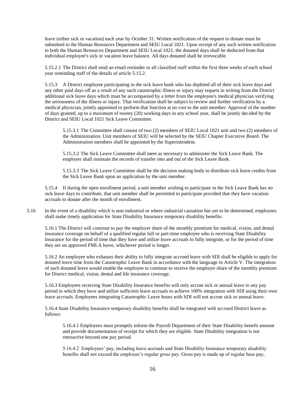leave (either sick or vacation) each year by October 31. Written notification of the request to donate must be submitted to the Human Resources Department and SEIU Local 1021. Upon receipt of any such written notification to both the Human Resources Department and SEIU Local 1021, the donated days shall be deducted from that individual employee's sick or vacation leave balance. All days donated shall be irrevocable.

5.15.2.1 The District shall send an email reminder to all classified staff within the first three weeks of each school year reminding staff of the details of article 5.15.2.

5.15.3 A District employee participating in the sick leave bank who has depleted all of their sick leave days and any other paid days off as a result of any such catastrophic illness or injury may request in writing from the District additional sick leave days which must be accompanied by a letter from the employee's medical physician verifying the seriousness of the illness or injury. That verification shall be subject to review and further verification by a medical physician, jointly appointed to perform that function at no cost to the unit member. Approval of the number of days granted, up to a maximum of twenty (20) working days in any school year, shall be jointly decided by the District and SEIU Local 1021 Sick Leave Committee.

5.15.3.1 The Committee shall consist of two (2) members of SEIU Local 1021 unit and two (2) members of the Administration. Unit members of SEIU will be selected by the SEIU Chapter Executive Board. The Administration members shall be appointed by the Superintendent.

5.15.3.2 The Sick Leave Committee shall meet as necessary to administer the Sick Leave Bank. The employer shall maintain the records of transfer into and out of the Sick Leave Bank.

5.15.3.3 The Sick Leave Committee shall be the decision making body to distribute sick leave credits from the Sick Leave Bank upon an application by the unit member.

5.15.4 If during the open enrollment period, a unit member wishing to participate in the Sick Leave Bank has no sick leave days to contribute, that unit member shall be permitted to participate provided that they have vacation accruals to donate after the month of enrollment.

5.16 In the event of a disability which is non-industrial or where industrial causation has yet to be determined, employees shall make timely application for State Disability Insurance temporary disability benefits.

5.16.1 The District will continue to pay the employer share of the monthly premium for medical, vision, and dental insurance coverage on behalf of a qualified regular full or part-time employee who is receiving State Disability Insurance for the period of time that they have and utilize leave accruals to fully integrate, or for the period of time they are on approved FMLA leave, whichever period is longer.

5.16.2 An employee who exhausts their ability to fully integrate accrued leave with SDI shall be eligible to apply for donated leave time from the Catastrophic Leave Bank in accordance with the language in Article V. The integration of such donated leave would enable the employee to continue to receive the employer share of the monthly premium for District medical, vision, dental and life insurance coverage.

5.16.3 Employees receiving State Disability Insurance benefits will only accrue sick or annual leave in any pay period in which they have and utilize sufficient leave accruals to achieve 100% integration with SDI using their own leave accruals. Employees integrating Catastrophic Leave hours with SDI will not accrue sick or annual leave.

5.16.4 State Disability Insurance temporary disability benefits shall be integrated with accrued District leave as follows:

5.16.4.1 Employees must promptly inform the Payroll Department of their State Disability benefit amount and provide documentation of receipt for which they are eligible. State Disability integration is not retroactive beyond one pay period.

5.16.4.2 Employees' pay, including leave accruals and State Disability Insurance temporary disability benefits shall not exceed the employee's regular gross pay. Gross pay is made up of regular base pay,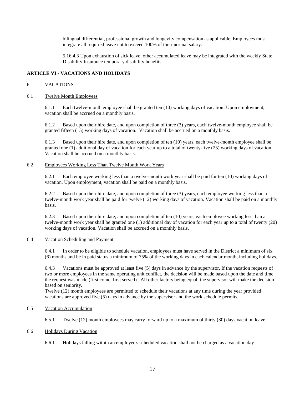bilingual differential, professional growth and longevity compensation as applicable. Employees must integrate all required leave not to exceed 100% of their normal salary.

5.16.4.3 Upon exhaustion of sick leave, other accumulated leave may be integrated with the weekly State Disability Insurance temporary disability benefits.

## **ARTICLE VI - VACATIONS AND HOLIDAYS**

#### 6 VACATIONS

#### 6.1 Twelve Month Employees

6.1.1 Each twelve-month employee shall be granted ten (10) working days of vacation. Upon employment, vacation shall be accrued on a monthly basis.

6.1.2 Based upon their hire date, and upon completion of three (3) years, each twelve-month employee shall be granted fifteen (15) working days of vacation.. Vacation shall be accrued on a monthly basis.

6.1.3 Based upon their hire date, and upon completion of ten (10) years, each twelve-month employee shall be granted one (1) additional day of vacation for each year up to a total of twenty-five (25) working days of vacation. Vacation shall be accrued on a monthly basis.

# 6.2 Employees Working Less Than Twelve Month Work Years

6.2.1 Each employee working less than a twelve-month work year shall be paid for ten (10) working days of vacation. Upon employment, vacation shall be paid on a monthly basis.

6.2.2 Based upon their hire date, and upon completion of three (3) years, each employee working less than a twelve-month work year shall be paid for twelve (12) working days of vacation. Vacation shall be paid on a monthly basis.

6.2.3 Based upon their hire date, and upon completion of ten (10) years, each employee working less than a twelve-month work year shall be granted one (1) additional day of vacation for each year up to a total of twenty (20) working days of vacation. Vacation shall be accrued on a monthly basis.

#### 6.4 Vacation Scheduling and Payment

6.4.1 In order to be eligible to schedule vacation, employees must have served in the District a minimum of six (6) months and be in paid status a minimum of 75% of the working days in each calendar month, including holidays.

6.4.3 Vacations must be approved at least five (5) days in advance by the supervisor. If the vacation requests of two or more employees in the same operating unit conflict, the decision will be made based upon the date and time the request was made (first come, first served) . All other factors being equal, the supervisor will make the decision based on seniority.

Twelve (12) month employees are permitted to schedule their vacations at any time during the year provided vacations are approved five (5) days in advance by the supervisor and the work schedule permits.

# 6.5 Vacation Accumulation

6.5.1 Twelve (12) month employees may carry forward up to a maximum of thirty (30) days vacation leave.

# 6.6 Holidays During Vacation

6.6.1 Holidays falling within an employee's scheduled vacation shall not be charged as a vacation day.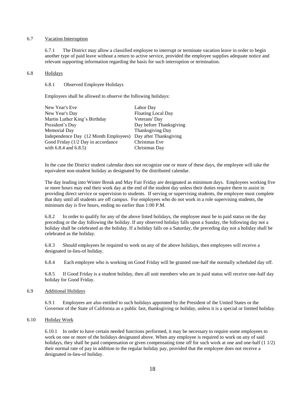#### 6.7 Vacation Interruption

6.7.1 The District may allow a classified employee to interrupt or terminate vacation leave in order to begin another type of paid leave without a return to active service, provided the employee supplies adequate notice and relevant supporting information regarding the basis for such interruption or termination.

#### 6.8 Holidays

#### 6.8.1 Observed Employee Holidays

Employees shall be allowed to observe the following holidays:

| New Year's Eve                        | Labor Day                 |
|---------------------------------------|---------------------------|
| New Year's Day                        | <b>Floating Local Day</b> |
| Martin Luther King's Birthday         | Veterans' Day             |
| President's Day                       | Day before Thanksgiving   |
| <b>Memorial Day</b>                   | Thanksgiving Day          |
| Independence Day (12 Month Employees) | Day after Thanksgiving    |
| Good Friday (1/2 Day in accordance    | Christmas Eve             |
| with $6.8.4$ and $6.8.5$ )            | Christmas Day             |
|                                       |                           |

In the case the District student calendar does not recognize one or more of these days, the employee will take the equivalent non-student holiday as designated by the distributed calendar.

The day leading into Winter Break and May Fair Friday are designated as minimum days. Employees working five or more hours may end their work day at the end of the student day unless their duties require them to assist in providing direct service or supervision to students. If serving or supervising students, the employee must complete that duty until all students are off campus. For employees who do not work in a role supervising students, the minimum day is five hours, ending no earlier than 1:00 P.M.

6.8.2 In order to qualify for any of the above listed holidays, the employee must be in paid status on the day preceding or the day following the holiday. If any observed holiday falls upon a Sunday, the following day not a holiday shall be celebrated as the holiday. If a holiday falls on a Saturday, the preceding day not a holiday shall be celebrated as the holiday.

6.8.3 Should employees be required to work on any of the above holidays, then employees will receive a designated in-lieu-of holiday.

6.8.4 Each employee who is working on Good Friday will be granted one-half the normally scheduled day off.

6.8.5 If Good Friday is a student holiday, then all unit members who are in paid status will receive one-half day holiday for Good Friday.

#### 6.9 Additional Holidays

6.9.1 Employees are also entitled to such holidays appointed by the President of the United States or the Governor of the State of California as a public fast, thanksgiving or holiday, unless it is a special or limited holiday.

#### 6.10 Holiday Work

6.10.1 In order to have certain needed functions performed, it may be necessary to require some employees to work on one or more of the holidays designated above. When any employee is required to work on any of said holidays, they shall be paid compensation or given compensating time off for such work at one and one-half (1 1/2) their normal rate of pay in addition to the regular holiday pay, provided that the employee does not receive a designated in-lieu-of holiday.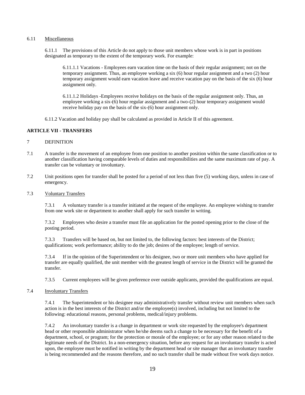#### 6.11 Miscellaneous

6.11.1 The provisions of this Article do not apply to those unit members whose work is in part in positions designated as temporary to the extent of the temporary work. For example:

6.11.1.1 Vacations - Employees earn vacation time on the basis of their regular assignment; not on the temporary assignment. Thus, an employee working a six (6) hour regular assignment and a two (2) hour temporary assignment would earn vacation leave and receive vacation pay on the basis of the six (6) hour assignment only.

6.11.1.2 Holidays -Employees receive holidays on the basis of the regular assignment only. Thus, an employee working a six-(6) hour regular assignment and a two-(2) hour temporary assignment would receive holiday pay on the basis of the six-(6) hour assignment only.

6.11.2 Vacation and holiday pay shall be calculated as provided in Article II of this agreement.

# **ARTICLE VII - TRANSFERS**

#### 7 DEFINITION

- 7.1 A transfer is the movement of an employee from one position to another position within the same classification or to another classification having comparable levels of duties and responsibilities and the same maximum rate of pay. A transfer can be voluntary or involuntary.
- 7.2 Unit positions open for transfer shall be posted for a period of not less than five (5) working days, unless in case of emergency.
- 7.3 Voluntary Transfers

7.3.1 A voluntary transfer is a transfer initiated at the request of the employee. An employee wishing to transfer from one work site or department to another shall apply for such transfer in writing.

7.3.2 Employees who desire a transfer must file an application for the posted opening prior to the close of the posting period.

7.3.3 Transfers will be based on, but not limited to, the following factors: best interests of the District; qualifications; work performance; ability to do the job; desires of the employee; length of service.

7.3.4 If in the opinion of the Superintendent or his designee, two or more unit members who have applied for transfer are equally qualified, the unit member with the greatest length of service in the District will be granted the transfer.

7.3.5 Current employees will be given preference over outside applicants, provided the qualifications are equal.

7.4 Involuntary Transfers

7.4.1 The Superintendent or his designee may administratively transfer without review unit members when such action is in the best interests of the District and/or the employee(s) involved, including but not limited to the following: educational reasons, personal problems, medical/injury problems.

7.4.2 An involuntary transfer is a change in department or work site requested by the employee's department head or other responsible administrator when he/she deems such a change to be necessary for the benefit of a department, school, or program; for the protection or morale of the employee; or for any other reason related to the legitimate needs of the District. In a non-emergency situation, before any request for an involuntary transfer is acted upon, the employee must be notified in writing by the department head or site manager that an involuntary transfer is being recommended and the reasons therefore, and no such transfer shall be made without five work days notice.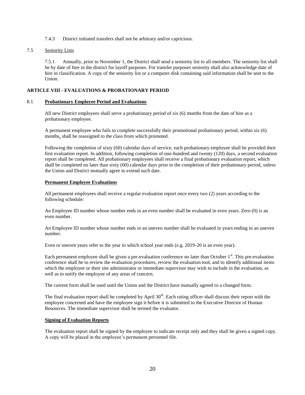7.4.3 District initiated transfers shall not be arbitrary and/or capricious.

# 7.5 Seniority Lists

7.5.1 Annually, prior to November 1, the District shall send a seniority list to all members. The seniority list shall be by date of hire in the district for layoff purposes. For transfer purposes seniority shall also acknowledge date of hire in classification. A copy of the seniority list or a computer disk containing said information shall be sent to the Union.

# **ARTICLE VIII - EVALUATIONS & PROBATIONARY PERIOD**

## 8.1 **Probationary Employee Period and Evaluations**

All new District employees shall serve a probationary period of six (6) months from the date of hire as a probationary employee.

A permanent employee who fails to complete successfully their promotional probationary period, within six (6) months, shall be reassigned to the class from which promoted.

Following the completion of sixty (60) calendar days of service, each probationary employee shall be provided their first evaluation report. In addition, following completion of one-hundred and twenty (120) days, a second evaluation report shall be completed. All probationary employees shall receive a final probationary evaluation report, which shall be completed no later than sixty (60) calendar days prior to the completion of their probationary period, unless the Union and District mutually agree to extend such date.

## **Permanent Employee Evaluations**

All permanent employees shall receive a regular evaluation report once every two (2) years according to the following schedule:

An Employee ID number whose number ends in an even number shall be evaluated in even years. Zero (0) is an even number.

An Employee ID number whose number ends in an uneven number shall be evaluated in years ending in an uneven number.

Even or uneven years refer to the year in which school year ends (e.g. 2019-20 is an even year).

Each permanent employee shall be given a pre-evaluation conference no later than October  $1<sup>st</sup>$ . This pre-evaluation conference shall be to review the evaluation procedures, review the evaluation tool, and to identify additional items which the employee or their site administrator or immediate supervisor may wish to include in the evaluation, as well as to notify the employee of any areas of concern.

The current form shall be used until the Union and the District have mutually agreed to a changed form.

The final evaluation report shall be completed by April 30<sup>th</sup>. Each rating officer shall discuss their report with the employee concerned and have the employee sign it before it is submitted to the Executive Director of Human Resources. The immediate supervisor shall be termed the evaluator.

# **Signing of Evaluation Reports**

The evaluation report shall be signed by the employee to indicate receipt only and they shall be given a signed copy. A copy will be placed in the employee's permanent personnel file.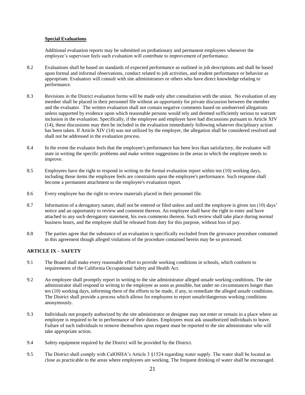# **Special Evaluations**

Additional evaluation reports may be submitted on probationary and permanent employees whenever the employee's supervisor feels such evaluation will contribute to improvement of performance.

- 8.2 Evaluations shall be based on standards of expected performance as outlined in job descriptions and shall be based upon formal and informal observations, conduct related to job activities, and student performance or behavior as appropriate. Evaluators will consult with site administrators or others who have direct knowledge relating to performance.
- 8.3 Revisions in the District evaluation forms will be made only after consultation with the union. No evaluation of any member shall be placed in their personnel file without an opportunity for private discussion between the member and the evaluator. The written evaluation shall not contain negative comments based on unobserved allegations unless supported by evidence upon which reasonable persons would rely and deemed sufficiently serious to warrant inclusion in the evaluation. Specifically, if the employee and employer have had discussions pursuant to Article XIV (14), these discussions may then be included in the evaluation immediately following whatever disciplinary action has been taken. If Article XIV (14) was not utilized by the employer, the allegation shall be considered resolved and shall not be addressed in the evaluation process.
- 8.4 In the event the evaluator feels that the employee's performance has been less than satisfactory, the evaluator will state in writing the specific problems and make written suggestions in the areas in which the employee needs to improve.
- 8.5 Employees have the right to respond in writing to the formal evaluation report within ten (10) working days, including those items the employee feels are constraints upon the employee's performance. Such response shall become a permanent attachment to the employee's evaluation report.
- 8.6 Every employee has the right to review materials placed in their personnel file.
- 8.7 Information of a derogatory nature, shall not be entered or filed unless and until the employee is given ten (10) days' notice and an opportunity to review and comment thereon. An employee shall have the right to enter and have attached to any such derogatory statement, his own comments thereon. Such review shall take place during normal business hours, and the employee shall be released from duty for this purpose, without loss of pay.
- 8.8 The parties agree that the substance of an evaluation is specifically excluded from the grievance procedure contained in this agreement though alleged violations of the procedure contained herein may be so processed.

# **ARTICLE IX – SAFETY**

- 9.1 The Board shall make every reasonable effort to provide working conditions in schools, which conform to requirements of the California Occupational Safety and Health Act.
- 9.2 An employee shall promptly report in writing to the site administrator alleged unsafe working conditions. The site administrator shall respond in writing to the employee as soon as possible, but under no circumstances longer than ten (10) working days, informing them of the efforts to be made, if any, to remediate the alleged unsafe conditions. The District shall provide a process which allows for employees to report unsafe/dangerous working conditions anonymously.
- 9.3 Individuals not properly authorized by the site administrator or designee may not enter or remain in a place where an employee is required to be in performance of their duties. Employees must ask unauthorized individuals to leave. Failure of such individuals to remove themselves upon request must be reported to the site administrator who will take appropriate action.
- 9.4 Safety equipment required by the District will be provided by the District.
- 9.5 The District shall comply with CalOSHA's Article 3 §1524 regarding water supply. The water shall be located as close as practicable to the areas where employees are working. The frequent drinking of water shall be encouraged.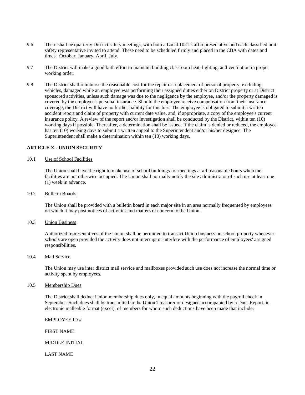- 9.6 There shall be quarterly District safety meetings, with both a Local 1021 staff representative and each classified unit safety representative invited to attend. These need to be scheduled firmly and placed in the CBA with dates and times. October, January, April, July.
- 9.7 The District will make a good faith effort to maintain building classroom heat, lighting, and ventilation in proper working order.
- 9.8 The District shall reimburse the reasonable cost for the repair or replacement of personal property, excluding vehicles, damaged while an employee was performing their assigned duties either on District property or at District sponsored activities, unless such damage was due to the negligence by the employee, and/or the property damaged is covered by the employee's personal insurance. Should the employee receive compensation from their insurance coverage, the District will have no further liability for this loss. The employee is obligated to submit a written accident report and claim of property with current date value, and, if appropriate, a copy of the employee's current insurance policy. A review of the report and/or investigation shall be conducted by the District, within ten (10) working days if possible. Thereafter, a determination shall be issued. If the claim is denied or reduced, the employee has ten (10) working days to submit a written appeal to the Superintendent and/or his/her designee. The Superintendent shall make a determination within ten (10) working days.

# **ARTICLE X - UNION SECURITY**

#### 10.1 Use of School Facilities

The Union shall have the right to make use of school buildings for meetings at all reasonable hours when the facilities are not otherwise occupied. The Union shall normally notify the site administrator of such use at least one (1) week in advance.

#### 10.2 Bulletin Boards

The Union shall be provided with a bulletin board in each major site in an area normally frequented by employees on which it may post notices of activities and matters of concern to the Union.

#### 10.3 Union Business

Authorized representatives of the Union shall be permitted to transact Union business on school property whenever schools are open provided the activity does not interrupt or interfere with the performance of employees' assigned responsibilities.

#### 10.4 Mail Service

The Union may use inter district mail service and mailboxes provided such use does not increase the normal time or activity spent by employees.

# 10.5 Membership Dues

The District shall deduct Union membership dues only, in equal amounts beginning with the payroll check in September. Such dues shall be transmitted to the Union Treasurer or designee accompanied by a Dues Report, in electronic malleable format (excel), of members for whom such deductions have been made that include:

EMPLOYEE ID #

FIRST NAME

#### MIDDLE INITIAL

LAST NAME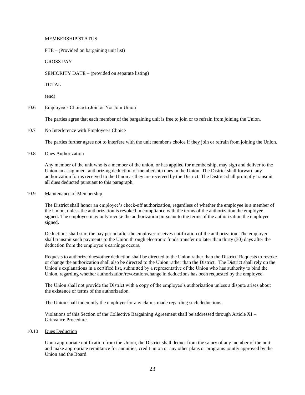#### MEMBERSHIP STATUS

FTE – (Provided on bargaining unit list)

GROSS PAY

SENIORITY DATE – (provided on separate listing)

TOTAL

(end)

# 10.6 Employee's Choice to Join or Not Join Union

The parties agree that each member of the bargaining unit is free to join or to refrain from joining the Union.

# 10.7 No Interference with Employee's Choice

The parties further agree not to interfere with the unit member's choice if they join or refrain from joining the Union.

## 10.8 Dues Authorization

Any member of the unit who is a member of the union, or has applied for membership, may sign and deliver to the Union an assignment authorizing deduction of membership dues in the Union. The District shall forward any authorization forms received to the Union as they are received by the District. The District shall promptly transmit all dues deducted pursuant to this paragraph.

## 10.9 Maintenance of Membership

The District shall honor an employee's check-off authorization, regardless of whether the employee is a member of the Union, unless the authorization is revoked in compliance with the terms of the authorization the employee signed. The employee may only revoke the authorization pursuant to the terms of the authorization the employee signed.

Deductions shall start the pay period after the employer receives notification of the authorization. The employer shall transmit such payments to the Union through electronic funds transfer no later than thirty (30) days after the deduction from the employee's earnings occurs.

Requests to authorize dues/other deduction shall be directed to the Union rather than the District. Requests to revoke or change the authorization shall also be directed to the Union rather than the District. The District shall rely on the Union's explanations in a certified list, submitted by a representative of the Union who has authority to bind the Union, regarding whether authorization/revocation/change in deductions has been requested by the employee.

The Union shall not provide the District with a copy of the employee's authorization unless a dispute arises about the existence or terms of the authorization.

The Union shall indemnify the employer for any claims made regarding such deductions.

Violations of this Section of the Collective Bargaining Agreement shall be addressed through Article XI – Grievance Procedure.

#### 10.10 Dues Deduction

Upon appropriate notification from the Union, the District shall deduct from the salary of any member of the unit and make appropriate remittance for annuities, credit union or any other plans or programs jointly approved by the Union and the Board.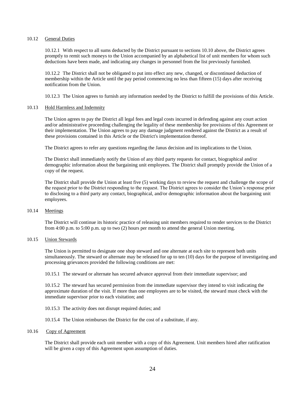## 10.12 General Duties

10.12.1 With respect to all sums deducted by the District pursuant to sections 10.10 above, the District agrees promptly to remit such moneys to the Union accompanied by an alphabetical list of unit members for whom such deductions have been made, and indicating any changes in personnel from the list previously furnished.

10.12.2 The District shall not be obligated to put into effect any new, changed, or discontinued deduction of membership within the Article until the pay period commencing no less than fifteen (15) days after receiving notification from the Union.

10.12.3 The Union agrees to furnish any information needed by the District to fulfill the provisions of this Article.

## 10.13 Hold Harmless and Indemnity

The Union agrees to pay the District all legal fees and legal costs incurred in defending against any court action and/or administrative proceeding challenging the legality of these membership fee provisions of this Agreement or their implementation. The Union agrees to pay any damage judgment rendered against the District as a result of these provisions contained in this Article or the District's implementation thereof.

The District agrees to refer any questions regarding the Janus decision and its implications to the Union.

The District shall immediately notify the Union of any third party requests for contact, biographical and/or demographic information about the bargaining unit employees. The District shall promptly provide the Union of a copy of the request.

The District shall provide the Union at least five (5) working days to review the request and challenge the scope of the request prior to the District responding to the request. The District agrees to consider the Union's response prior to disclosing to a third party any contact, biographical, and/or demographic information about the bargaining unit employees.

#### 10.14 Meetings

The District will continue its historic practice of releasing unit members required to render services to the District from 4:00 p.m. to 5:00 p.m. up to two (2) hours per month to attend the general Union meeting.

#### 10.15 Union Stewards

The Union is permitted to designate one shop steward and one alternate at each site to represent both units simultaneously. The steward or alternate may be released for up to ten (10) days for the purpose of investigating and processing grievances provided the following conditions are met:

10.15.1 The steward or alternate has secured advance approval from their immediate supervisor; and

10.15.2 The steward has secured permission from the immediate supervisor they intend to visit indicating the approximate duration of the visit. If more than one employees are to be visited, the steward must check with the immediate supervisor prior to each visitation; and

- 10.15.3 The activity does not disrupt required duties; and
- 10.15.4 The Union reimburses the District for the cost of a substitute, if any.
- 10.16 Copy of Agreement

The District shall provide each unit member with a copy of this Agreement. Unit members hired after ratification will be given a copy of this Agreement upon assumption of duties.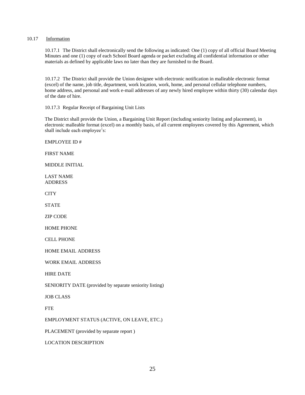## 10.17 Information

10.17.1 The District shall electronically send the following as indicated: One (1) copy of all official Board Meeting Minutes and one (1) copy of each School Board agenda or packet excluding all confidential information or other materials as defined by applicable laws no later than they are furnished to the Board.

10.17.2 The District shall provide the Union designee with electronic notification in malleable electronic format (excel) of the name, job title, department, work location, work, home, and personal cellular telephone numbers, home address, and personal and work e-mail addresses of any newly hired employee within thirty (30) calendar days of the date of hire.

10.17.3 Regular Receipt of Bargaining Unit Lists

The District shall provide the Union, a Bargaining Unit Report (including seniority listing and placement), in electronic malleable format (excel) on a monthly basis, of all current employees covered by this Agreement, which shall include each employee's:

EMPLOYEE ID #

FIRST NAME

MIDDLE INITIAL

LAST NAME ADDRESS

**CITY** 

**STATE** 

ZIP CODE

HOME PHONE

CELL PHONE

HOME EMAIL ADDRESS

WORK EMAIL ADDRESS

HIRE DATE

SENIORITY DATE (provided by separate seniority listing)

JOB CLASS

**FTE** 

EMPLOYMENT STATUS (ACTIVE, ON LEAVE, ETC.)

PLACEMENT (provided by separate report )

LOCATION DESCRIPTION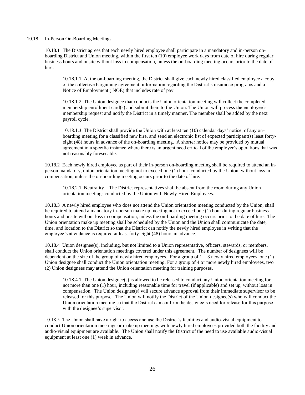#### 10.18 In-Person On-Boarding Meetings

10.18.1 The District agrees that each newly hired employee shall participate in a mandatory and in-person onboarding District and Union meeting, within the first ten (10) employee work days from date of hire during regular business hours and onsite without loss in compensation, unless the on-boarding meeting occurs prior to the date of hire.

10.18.1.1 At the on-boarding meeting, the District shall give each newly hired classified employee a copy of the collective bargaining agreement, information regarding the District's insurance programs and a Notice of Employment ( NOE) that includes rate of pay.

10.18.1.2 The Union designee that conducts the Union orientation meeting will collect the completed membership enrollment card(s) and submit them to the Union. The Union will process the employee's membership request and notify the District in a timely manner. The member shall be added by the next payroll cycle.

10.18.1.3 The District shall provide the Union with at least ten (10) calendar days' notice, of any onboarding meeting for a classified new hire, and send an electronic list of expected participant(s) least fortyeight (48) hours in advance of the on-boarding meeting. A shorter notice may be provided by mutual agreement in a specific instance where there is an urgent need critical of the employer's operations that was not reasonably foreseeable.

10.18.2 Each newly hired employee as part of their in-person on-boarding meeting shall be required to attend an inperson mandatory, union orientation meeting not to exceed one (1) hour, conducted by the Union, without loss in compensation, unless the on-boarding meeting occurs prior to the date of hire.

10.18.2.1 Neutrality – The District representatives shall be absent from the room during any Union orientation meetings conducted by the Union with Newly Hired Employees.

10.18.3 A newly hired employee who does not attend the Union orientation meeting conducted by the Union, shall be required to attend a mandatory in-person make up meeting not to exceed one (1) hour during regular business hours and onsite without loss in compensation, unless the on-boarding meeting occurs prior to the date of hire. The Union orientation make up meeting shall be scheduled by the Union and the Union shall communicate the date, time, and location to the District so that the District can notify the newly hired employee in writing that the employee's attendance is required at least forty-eight (48) hours in advance.

10.18.4 Union designee(s), including, but not limited to a Union representative, officers, stewards, or members, shall conduct the Union orientation meetings covered under this agreement. The number of designees will be dependent on the size of the group of newly hired employees. For a group of  $1 - 3$  newly hired employees, one (1) Union designee shall conduct the Union orientation meeting. For a group of 4 or more newly hired employees, two (2) Union designees may attend the Union orientation meeting for training purposes.

10.18.4.1 The Union designee(s) is allowed to be released to conduct any Union orientation meeting for not more than one (1) hour, including reasonable time for travel (if applicable) and set up, without loss in compensation. The Union designee(s) will secure advance approval from their immediate supervisor to be released for this purpose. The Union will notify the District of the Union designee(s) who will conduct the Union orientation meeting so that the District can confirm the designee's need for release for this purpose with the designee's supervisor.

10.18.5 The Union shall have a right to access and use the District's facilities and audio-visual equipment to conduct Union orientation meetings or make up meetings with newly hired employees provided both the facility and audio-visual equipment are available. The Union shall notify the District of the need to use available audio-visual equipment at least one (1) week in advance.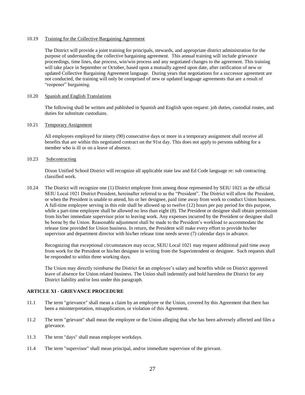#### 10.19 Training for the Collective Bargaining Agreement

The District will provide a joint training for principals, stewards, and appropriate district administration for the purpose of understanding the collective bargaining agreement. This annual training will include grievance proceedings, time lines, due process, win/win process and any negotiated changes to the agreement. This training will take place in September or October, based upon a mutually agreed upon date, after ratification of new or updated Collective Bargaining Agreement language. During years that negotiations for a successor agreement are not conducted, the training will only be comprised of new or updated language agreements that are a result of "reopener" bargaining.

#### 10.20 Spanish and English Translations

The following shall be written and published in Spanish and English upon request: job duties, custodial routes, and duties for substitute custodians.

# 10.21 Temporary Assignment

All employees employed for ninety (90) consecutive days or more in a temporary assignment shall receive all benefits that are within this negotiated contract on the 91st day. This does not apply to persons subbing for a member who is ill or on a leave of absence.

# 10.23 Subcontracting

Dixon Unified School District will recognize all applicable state law and Ed Code language re: sub contracting classified work.

10.24 The District will recognize one (1) District employee from among those represented by SEIU 1021 as the official SEIU Local 1021 District President, hereinafter referred to as the "President". The District will allow the President, or when the President is unable to attend, his or her designee, paid time away from work to conduct Union business. A full-time employee serving in this role shall be allowed up to twelve (12) hours per pay period for this purpose, while a part-time employee shall be allowed no less than eight (8). The President or designee shall obtain permission from his/her immediate supervisor prior to leaving work. Any expenses incurred by the President or designee shall be borne by the Union. Reasonable adjustment shall be made to the President's workload to accommodate the release time provided for Union business. In return, the President will make every effort to provide his/her supervisor and department director with his/her release time needs seven (7) calendar days in advance.

Recognizing that exceptional circumstances may occur, SEIU Local 1021 may request additional paid time away from work for the President or his/her designee in writing from the Superintendent or designee. Such requests shall be responded to within three working days.

The Union may directly reimburse the District for an employee's salary and benefits while on District approved leave of absence for Union related business. The Union shall indemnify and hold harmless the District for any District liability and/or loss under this paragraph.

# **ARTICLE XI - GRIEVANCE PROCEDURE**

- 11.1 The term "grievance" shall mean a claim by an employee or the Union, covered by this Agreement that there has been a misinterpretation, misapplication, or violation of this Agreement.
- 11.2 The term "grievant" shall mean the employee or the Union alleging that s/he has been adversely affected and files a grievance.
- 11.3 The term "days" shall mean employee workdays.
- 11.4 The term "supervisor" shall mean principal, and/or immediate supervisor of the grievant.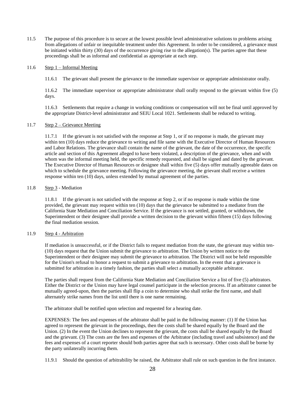11.5 The purpose of this procedure is to secure at the lowest possible level administrative solutions to problems arising from allegations of unfair or inequitable treatment under this Agreement. In order to be considered, a grievance must be initiated within thirty (30) days of the occurrence giving rise to the allegation(s). The parties agree that these proceedings shall be as informal and confidential as appropriate at each step.

#### 11.6 Step 1 – Informal Meeting

11.6.1 The grievant shall present the grievance to the immediate supervisor or appropriate administrator orally.

11.6.2 The immediate supervisor or appropriate administrator shall orally respond to the grievant within five (5) days.

11.6.3 Settlements that require a change in working conditions or compensation will not be final until approved by the appropriate District-level administrator and SEIU Local 1021. Settlements shall be reduced to writing.

## 11.7 Step 2 – Grievance Meeting

11.7.1 If the grievant is not satisfied with the response at Step 1, or if no response is made, the grievant may within ten (10) days reduce the grievance to writing and file same with the Executive Director of Human Resources and Labor Relations. The grievance shall contain the name of the grievant, the date of the occurrence, the specific article and section of this Agreement alleged to have been violated, a description of the grievance, when and with whom was the informal meeting held, the specific remedy requested, and shall be signed and dated by the grievant. The Executive Director of Human Resources or designee shall within five (5) days offer mutually agreeable dates on which to schedule the grievance meeting. Following the grievance meeting, the grievant shall receive a written response within ten (10) days, unless extended by mutual agreement of the parties.

## 11.8 Step 3 - Mediation

11.8.1 If the grievant is not satisfied with the response at Step 2, or if no response is made within the time provided, the grievant may request within ten (10) days that the grievance be submitted to a mediator from the California State Mediation and Conciliation Service. If the grievance is not settled, granted, or withdrawn, the Superintendent or their designee shall provide a written decision to the grievant within fifteen (15) days following the final mediation session.

# 11.9 Step 4 - Arbitration

If mediation is unsuccessful, or if the District fails to request mediation from the state, the grievant may within ten- (10) days request that the Union submit the grievance to arbitration. The Union by written notice to the Superintendent or their designee may submit the grievance to arbitration. The District will not be held responsible for the Union's refusal to honor a request to submit a grievance to arbitration. In the event that a grievance is submitted for arbitration in a timely fashion, the parties shall select a mutually acceptable arbitrator.

The parties shall request from the California State Mediation and Conciliation Service a list of five (5) arbitrators. Either the District or the Union may have legal counsel participate in the selection process. If an arbitrator cannot be mutually agreed-upon, then the parties shall flip a coin to determine who shall strike the first name, and shall alternately strike names from the list until there is one name remaining.

The arbitrator shall be notified upon selection and requested for a hearing date.

EXPENSES: The fees and expenses of the arbitrator shall be paid in the following manner: (1) If the Union has agreed to represent the grievant in the proceedings, then the costs shall be shared equally by the Board and the Union. (2) In the event the Union declines to represent the grievant, the costs shall be shared equally by the Board and the grievant. (3) The costs are the fees and expenses of the Arbitrator (including travel and subsistence) and the fees and expenses of a court reporter should both parties agree that such is necessary. Other costs shall be borne by the party unilaterally incurring them.

11.9.1 Should the question of arbitrability be raised, the Arbitrator shall rule on such question in the first instance.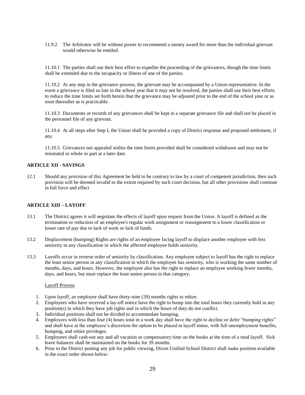11.9.2 The Arbitrator will be without power to recommend a money award for more than the individual grievant would otherwise be entitled.

11.10.1 The parties shall use their best effort to expedite the proceeding of the grievances, though the time limits shall be extended due to the incapacity or illness of one of the parties.

11.10.2 At any step in the grievance process, the grievant may be accompanied by a Union representative. In the event a grievance is filed so late in the school year that it may not be resolved, the parties shall use their best efforts to reduce the time limits set forth herein that the grievance may be adjusted prior to the end of the school year or as soon thereafter as is practicable.

11.10.3 Documents or records of any grievances shall be kept in a separate grievance file and shall not be placed in the personnel file of any grievant.

11.10.4 At all steps after Step I, the Union shall be provided a copy of District response and proposed settlement, if any.

11.10.5 Grievances not appealed within the time limits provided shall be considered withdrawn and may not be reinstated in whole or part at a later date.

# **ARTICLE XII - SAVINGS**

12.1 Should any provision of this Agreement be held to be contrary to law by a court of competent jurisdiction, then such provision will be deemed invalid to the extent required by such court decision, but all other provisions shall continue in full force and effect

#### **ARTICLE XIII – LAYOFF**

- 13.1 The District agrees it will negotiate the effects of layoff upon request from the Union. A layoff is defined as the termination or reduction of an employee's regular work assignment or reassignment to a lower classification or lower rate of pay due to lack of work or lack of funds.
- 13.2 Displacement (bumping) Rights are rights of an employee facing layoff to displace another employee with less seniority in any classification in which the affected employee holds seniority.
- 13.3 Layoffs occur in reverse order of seniority by classification. Any employee subject to layoff has the right to replace the least senior person in any classification in which the employee has seniority, who is working the same number of months, days, and hours. However, the employee also has the right to replace an employee working fewer months, days, and hours, but must replace the least senior person in that category.

#### Layoff Process

- 1. Upon layoff, an employee shall have thirty-nine (39) months rights to rehire.
- 2. Employees who have received a lay-off notice have the right to bump into the total hours they currently hold in any position(s) in which they have job rights and in which the hours of duty do not conflict.
- 3. Individual positions shall not be divided to accommodate bumping.
- 4. Employees with less than four (4) hours total in a work day shall have the right to decline or defer "bumping rights" and shall have at the employee's discretion the option to be placed in layoff status, with full unemployment benefits, bumping, and rehire privileges.
- 5. Employees shall cash-out any and all vacation or compensatory time on the books at the time of a total layoff. Sick leave balances shall be maintained on the books for 39 months.
- 6. Prior to the District posting any job for public viewing, Dixon Unified School District shall make position available in the exact order shown below: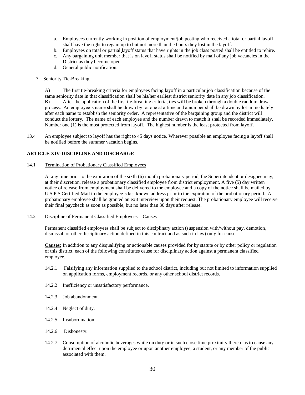- a. Employees currently working in position of employment/job posting who received a total or partial layoff, shall have the right to regain up to but not more than the hours they lost in the layoff.
- b. Employees on total or partial layoff status that have rights in the job class posted shall be entitled to rehire.
- c. Any bargaining unit member that is on layoff status shall be notified by mail of any job vacancies in the District as they become open.
- d. General public notification.
- 7. Seniority Tie-Breaking

A) The first tie-breaking criteria for employees facing layoff in a particular job classification because of the same seniority date in that classification shall be his/her earliest district seniority date in any job classification. B) After the application of the first tie-breaking criteria, ties will be broken through a double random draw process. An employee's name shall be drawn by lot one at a time and a number shall be drawn by lot immediately after each name to establish the seniority order. A representative of the bargaining group and the district will conduct the lottery. The name of each employee and the number drawn to match it shall be recorded immediately. Number one (1) is the most protected from layoff. The highest number is the least protected from layoff.

13.4 An employee subject to layoff has the right to 45 days notice. Wherever possible an employee facing a layoff shall be notified before the summer vacation begins.

## **ARTICLE XIV-DISCIPLINE AND DISCHARGE**

#### 14.1 Termination of Probationary Classified Employees

At any time prior to the expiration of the sixth (6) month probationary period, the Superintendent or designee may, at their discretion, release a probationary classified employee from district employment. A five (5) day written notice of release from employment shall be delivered to the employee and a copy of the notice shall be mailed by U.S.P.S Certified Mail to the employee's last known address prior to the expiration of the probationary period. A probationary employee shall be granted an exit interview upon their request. The probationary employee will receive their final paycheck as soon as possible, but no later than 30 days after release.

#### 14.2 Discipline of Permanent Classified Employees – Causes

Permanent classified employees shall be subject to disciplinary action (suspension with/without pay, demotion, dismissal, or other disciplinary action defined in this contract and as such in law) only for cause.

**Causes:** In addition to any disqualifying or actionable causes provided for by statute or by other policy or regulation of this district, each of the following constitutes cause for disciplinary action against a permanent classified employee.

- 14.2.1 Falsifying any information supplied to the school district, including but not limited to information supplied on application forms, employment records, or any other school district records.
- 14.2.2 Inefficiency or unsatisfactory performance.
- 14.2.3 Job abandonment.
- 14.2.4 Neglect of duty.
- 14.2.5 Insubordination.
- 14.2.6 Dishonesty.
- 14.2.7 Consumption of alcoholic beverages while on duty or in such close time proximity thereto as to cause any detrimental effect upon the employee or upon another employee, a student, or any member of the public associated with them.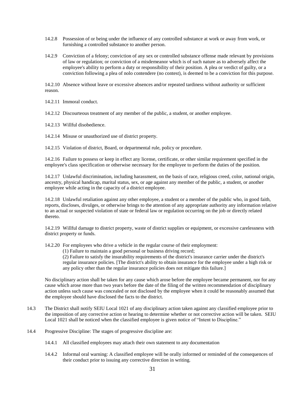- 14.2.8 Possession of or being under the influence of any controlled substance at work or away from work, or furnishing a controlled substance to another person.
- 14.2.9 Conviction of a felony; conviction of any sex or controlled substance offense made relevant by provisions of law or regulation; or conviction of a misdemeanor which is of such nature as to adversely affect the employee's ability to perform a duty or responsibility of their position. A plea or verdict of guilty, or a conviction following a plea of nolo contendere (no contest), is deemed to be a conviction for this purpose.

14.2.10 Absence without leave or excessive absences and/or repeated tardiness without authority or sufficient reason.

14.2.11 Immoral conduct.

14.2.12 Discourteous treatment of any member of the public, a student, or another employee.

14.2.13 Willful disobedience.

14.2.14 Misuse or unauthorized use of district property.

14.2.15 Violation of district, Board, or departmental rule, policy or procedure.

14.2.16 Failure to possess or keep in effect any license, certificate, or other similar requirement specified in the employee's class specification or otherwise necessary for the employee to perform the duties of the position.

14.2.17 Unlawful discrimination, including harassment, on the basis of race, religious creed, color, national origin, ancestry, physical handicap, marital status, sex, or age against any member of the public, a student, or another employee while acting in the capacity of a district employee.

14.2.18 Unlawful retaliation against any other employee, a student or a member of the public who, in good faith, reports, discloses, divulges, or otherwise brings to the attention of any appropriate authority any information relative to an actual or suspected violation of state or federal law or regulation occurring on the job or directly related thereto.

14.2.19 Willful damage to district property, waste of district supplies or equipment, or excessive carelessness with district property or funds.

14.2.20 For employees who drive a vehicle in the regular course of their employment:

(1) Failure to maintain a good personal or business driving record;

(2) Failure to satisfy the insurability requirements of the district's insurance carrier under the district's regular insurance policies. [The district's ability to obtain insurance for the employee under a high risk or any policy other than the regular insurance policies does not mitigate this failure.]

No disciplinary action shall be taken for any cause which arose before the employee became permanent, nor for any cause which arose more than two years before the date of the filing of the written recommendation of disciplinary action unless such cause was concealed or not disclosed by the employee when it could be reasonably assumed that the employee should have disclosed the facts to the district.

- 14.3 The District shall notify SEIU Local 1021 of any disciplinary action taken against any classified employee prior to the imposition of any corrective action or hearing to determine whether or not corrective action will be taken. SEIU Local 1021 shall be noticed when the classified employee is given notice of "Intent to Discipline."
- 14.4 Progressive Discipline: The stages of progressive discipline are:
	- 14.4.1 All classified employees may attach their own statement to any documentation
	- 14.4.2 Informal oral warning: A classified employee will be orally informed or reminded of the consequences of their conduct prior to issuing any corrective direction in writing.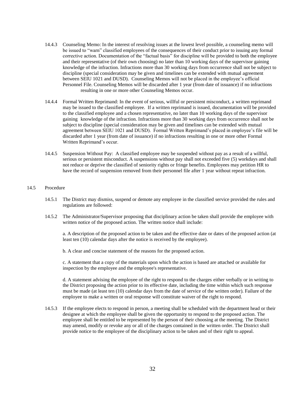- 14.4.3 Counseling Memo: In the interest of resolving issues at the lowest level possible, a counseling memo will be issued to "warn" classified employees of the consequences of their conduct prior to issuing any formal corrective action. Documentation of the "factual basis" for discipline will be provided to both the employee and their representative (of their own choosing) no later than 10 working days of the supervisor gaining knowledge of the infraction. Infractions more than 30 working days from occurrence shall not be subject to discipline (special consideration may be given and timelines can be extended with mutual agreement between SEIU 1021 and DUSD). Counseling Memos will not be placed in the employee's official Personnel File. Counseling Memos will be discarded after 1 year (from date of issuance) if no infractions resulting in one or more other Counseling Memos occur.
- 14.4.4 Formal Written Reprimand: In the event of serious, willful or persistent misconduct, a written reprimand may be issued to the classified employee. If a written reprimand is issued, documentation will be provided to the classified employee and a chosen representative, no later than 10 working days of the supervisor gaining knowledge of the infraction. Infractions more than 30 working days from occurrence shall not be subject to discipline (special consideration may be given and timelines can be extended with mutual agreement between SEIU 1021 and DUSD). Formal Written Reprimand's placed in employee's file will be discarded after 1 year (from date of issuance) if no infractions resulting in one or more other Formal Written Reprimand's occur.
- 14.4.5 Suspension Without Pay: A classified employee may be suspended without pay as a result of a willful, serious or persistent misconduct. A suspensions without pay shall not exceeded five (5) workdays and shall not reduce or deprive the classified of seniority rights or fringe benefits. Employees may petition HR to have the record of suspension removed from their personnel file after 1 year without repeat infraction.

## 14.5 Procedure

- 14.5.1 The District may dismiss, suspend or demote any employee in the classified service provided the rules and regulations are followed:
- 14.5.2 The Administrator/Supervisor proposing that disciplinary action be taken shall provide the employee with written notice of the proposed action. The written notice shall include:

a. A description of the proposed action to be taken and the effective date or dates of the proposed action (at least ten (10) calendar days after the notice is received by the employee).

b. A clear and concise statement of the reasons for the proposed action.

c. A statement that a copy of the materials upon which the action is based are attached or available for inspection by the employee and the employee's representative.

d. A statement advising the employee of the right to respond to the charges either verbally or in writing to the District proposing the action prior to its effective date, including the time within which such response must be made (at least ten (10) calendar days from the date of service of the written order). Failure of the employee to make a written or oral response will constitute waiver of the right to respond.

14.5.3 If the employee elects to respond in person, a meeting shall be scheduled with the department head or their designee at which the employee shall be given the opportunity to respond to the proposed action. The employee shall be entitled to be represented by the person of their choosing at the meeting. The District may amend, modify or revoke any or all of the charges contained in the written order. The District shall provide notice to the employee of the disciplinary action to be taken and of their right to appeal.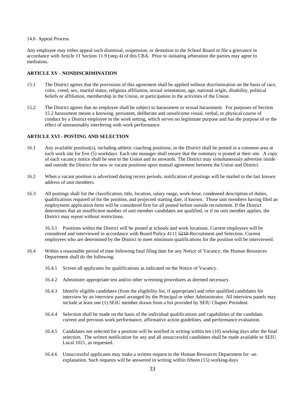#### 14.6Appeal Process

Any employee may either appeal such dismissal, suspension, or demotion to the School Board or file a grievance in accordance with Article 11 Section 11.9 (step 4) of this CBA. Prior to initiating arbitration the parties may agree to mediation.

# **ARTICLE XV - NONDISCRIMINATION**

- 15.1 The District agrees that the provisions of this agreement shall be applied without discrimination on the basis of race, color, creed, sex, marital status, religious affiliation, sexual orientation, age, national origin, disability, political beliefs or affiliation, membership in the Union, or participation in the activities of the Union.
- 15.2 The District agrees that no employee shall be subject to harassment or sexual harassment. For purposes of Section 15.2 harassment means a knowing, persistent, deliberate and unwelcome visual, verbal, or physical course of conduct by a District employee in the work setting, which serves no legitimate purpose and has the purpose of or the effect of unreasonably interfering with work performance.

#### **ARTICLE XVI - POSTING AND SELECTION**

- 16.1 Any available position(s), including athletic coaching positions, in the District shall be posted in a common area at each work site for five (5) workdays. Each site manager shall ensure that the summary is posted at their site. A copy of each vacancy notice shall be sent to the Union and its stewards. The District may simultaneously advertise inside and outside the District for new or vacant positions upon mutual agreement between the Union and District.
- 16.2 When a vacant position is advertised during recess periods, notification of postings will be mailed to the last known address of unit members.
- 16.3 All postings shall list the classification, title, location, salary range, work-hour, condensed description of duties, qualifications required of for the position, and projected starting date, if known. Those unit members having filed an employment application form will be considered first for all posted before outside recruitment. If the District determines that an insufficient number of unit member candidates are qualified, or if no unit member applies, the District may repost without restrictions.

16.3.1 Positions within the District will be posted at schools and work locations. Current employees will be considered and interviewed in accordance with Board Policy 4111 5210-Recruitment and Selection. Current employees who are determined by the District to meet minimum qualifications for the position will be interviewed.

- 16.4 Within a reasonable period of time following final filing date for any Notice of Vacancy, the Human Resources Department shall do the following:
	- 16.4.1 Screen all applicants for qualifications as indicated on the Notice of Vacancy.
	- 16.4.2 Administer appropriate test and/or other screening procedures as deemed necessary.
	- 16.4.3 Identify eligible candidates (from the eligibility list, if appropriate) and refer qualified candidates for interview by an interview panel arranged by the Principal or other Administrator. All interview panels may include at least one (1) SEIU member drawn from a list provided by SEIU Chapter President.
	- 16.4.4 Selection shall be made on the basis of the individual qualifications and capabilities of the candidate, current and previous work performance, affirmative action guidelines, and performance evaluation.
	- 16.4.5 Candidates not selected for a position will be notified in writing within ten (10) working days after the final selection. The written notification for any and all unsuccessful candidates shall be made available to SEIU Local 1021, as requested.
	- 16.4.6 Unsuccessful applicants may make a written request to the Human Resources Department for -an explanation. Such requests will be answered in writing within fifteen (15) working-days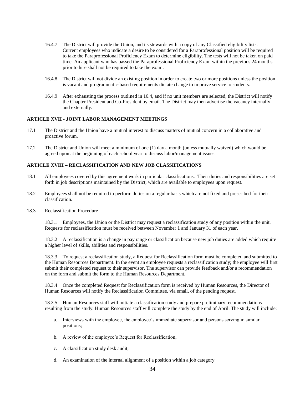- 16.4.7 The District will provide the Union, and its stewards with a copy of any Classified eligibility lists. Current employees who indicate a desire to be considered for a Paraprofessional position will be required to take the Paraprofessional Proficiency Exam to determine eligibility. The tests will not be taken on paid time. An applicant who has passed the Paraprofessional Proficiency Exam within the previous 24 months prior to hire shall not be required to take the exam.
- 16.4.8 The District will not divide an existing position in order to create two or more positions unless the position is vacant and programmatic-based requirements dictate change to improve service to students.
- 16.4.9 After exhausting the process outlined in 16.4, and if no unit members are selected, the District will notify the Chapter President and Co-President by email. The District may then advertise the vacancy internally and externally.

# **ARTICLE XVII - JOINT LABOR MANAGEMENT MEETINGS**

- 17.1 The District and the Union have a mutual interest to discuss matters of mutual concern in a collaborative and proactive forum.
- 17.2 The District and Union will meet a minimum of one (1) day a month (unless mutually waived) which would be agreed upon at the beginning of each school year to discuss labor/management issues.

# **ARTICLE XVIII – RECLASSIFICATION AND NEW JOB CLASSIFICATIONS**

- 18.1 All employees covered by this agreement work in particular classifications. Their duties and responsibilities are set forth in job descriptions maintained by the District, which are available to employees upon request.
- 18.2 Employees shall not be required to perform duties on a regular basis which are not fixed and prescribed for their classification.
- 18.3 Reclassification Procedure

18.3.1 Employees, the Union or the District may request a reclassification study of any position within the unit. Requests for reclassification must be received between November 1 and January 31 of each year.

18.3.2 A reclassification is a change in pay range or classification because new job duties are added which require a higher level of skills, abilities and responsibilities.

18.3.3 To request a reclassification study, a Request for Reclassification form must be completed and submitted to the Human Resources Department. In the event an employee requests a reclassification study; the employee will first submit their completed request to their supervisor. The supervisor can provide feedback and/or a recommendation on the form and submit the form to the Human Resources Department.

18.3.4 Once the completed Request for Reclassification form is received by Human Resources, the Director of Human Resources will notify the Reclassification Committee, via email, of the pending request.

18.3.5 Human Resources staff will initiate a classification study and prepare preliminary recommendations resulting from the study. Human Resources staff will complete the study by the end of April. The study will include:

- a. Interviews with the employee, the employee's immediate supervisor and persons serving in similar positions;
- b. A review of the employee's Request for Reclassification;
- c. A classification study desk audit;
- d. An examination of the internal alignment of a position within a job category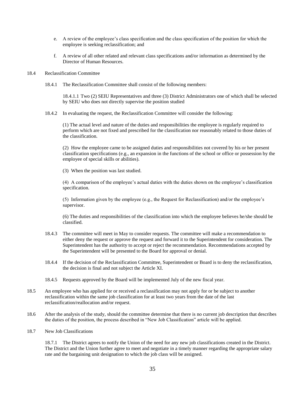- e. A review of the employee's class specification and the class specification of the position for which the employee is seeking reclassification; and
- f. A review of all other related and relevant class specifications and/or information as determined by the Director of Human Resources.

# 18.4 Reclassification Committee

18.4.1 The Reclassification Committee shall consist of the following members:

18.4.1.1 Two (2) SEIU Representatives and three (3) District Administrators one of which shall be selected by SEIU who does not directly supervise the position studied

18.4.2 In evaluating the request, the Reclassification Committee will consider the following:

(1) The actual level and nature of the duties and responsibilities the employee is regularly required to perform which are not fixed and prescribed for the classification nor reasonably related to those duties of the classification.

(2) How the employee came to be assigned duties and responsibilities not covered by his or her present classification specifications (e.g., an expansion in the functions of the school or office or possession by the employee of special skills or abilities).

(3) When the position was last studied.

(4) A comparison of the employee's actual duties with the duties shown on the employee's classification specification.

(5) Information given by the employee (e.g., the Request for Reclassification) and/or the employee's supervisor.

(6) The duties and responsibilities of the classification into which the employee believes he/she should be classified.

- 18.4.3 The committee will meet in May to consider requests. The committee will make a recommendation to either deny the request or approve the request and forward it to the Superintendent for consideration. The Superintendent has the authority to accept or reject the recommendation. Recommendations accepted by the Superintendent will be presented to the Board for approval or denial.
- 18.4.4 If the decision of the Reclassification Committee, Superintendent or Board is to deny the reclassification, the decision is final and not subject the Article XI.
- 18.4.5 Requests approved by the Board will be implemented July of the new fiscal year.
- 18.5 An employee who has applied for or received a reclassification may not apply for or be subject to another reclassification within the same job classification for at least two years from the date of the last reclassification/reallocation and/or request.
- 18.6 After the analysis of the study, should the committee determine that there is no current job description that describes the duties of the position, the process described in "New Job Classification" article will be applied.
- 18.7 New Job Classifications

18.7.1 The District agrees to notify the Union of the need for any new job classifications created in the District. The District and the Union further agree to meet and negotiate in a timely manner regarding the appropriate salary rate and the bargaining unit designation to which the job class will be assigned.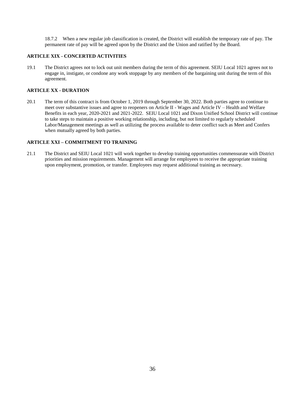18.7.2 When a new regular job classification is created, the District will establish the temporary rate of pay. The permanent rate of pay will be agreed upon by the District and the Union and ratified by the Board.

# **ARTICLE XIX - CONCERTED ACTIVITIES**

19.1 The District agrees not to lock out unit members during the term of this agreement. SEIU Local 1021 agrees not to engage in, instigate, or condone any work stoppage by any members of the bargaining unit during the term of this agreement.

# **ARTICLE XX - DURATION**

20.1 The term of this contract is from October 1, 2019 through September 30, 2022. Both parties agree to continue to meet over substantive issues and agree to reopeners on Article II - Wages and Article IV – Health and Welfare Benefits in each year, 2020-2021 and 2021-2022. SEIU Local 1021 and Dixon Unified School District will continue to take steps to maintain a positive working relationship, including, but not limited to regularly scheduled Labor/Management meetings as well as utilizing the process available to deter conflict such as Meet and Confers when mutually agreed by both parties.

## **ARTICLE XXI – COMMITMENT TO TRAINING**

21.1 The District and SEIU Local 1021 will work together to develop training opportunities commensurate with District priorities and mission requirements. Management will arrange for employees to receive the appropriate training upon employment, promotion, or transfer. Employees may request additional training as necessary.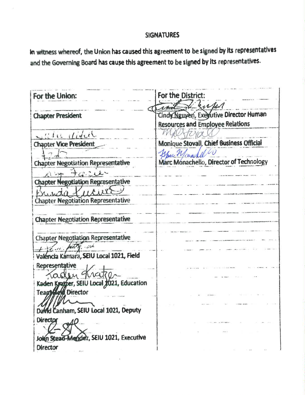# **SIGNATURES**

In witness whereof, the Union has caused this agreement to be signed by its representatives and the Governing Board has cause this agreement to be signed by its representatives.

For the District: For the Union: I kirk Cindy Nguyen, Exerutive Director Human **Chapter President Resources and Employee Relations** Yewa MAU which didn't. Monique Stovall, Chief Business Official **Chapter Vice President** Spu Monachel Li Marc Monachello, Director of Technology **Chapter Negotiation Representative Chapter Negotiation Representative** Chapter Negotiation Representative **Chapter Negotiation Representative** Chapter Negotiation Representative  $\sim$  6.16 Valencia Kamara, SEIU Local 1021, Field Representative aden hatc Kaden Kratzer, SEIU Local 1021, Education Teagy Held Director David Canham, SEIU Local 1021, Deputy **Director** n Stead-Mendez, SEIU 1021, Executive **Director**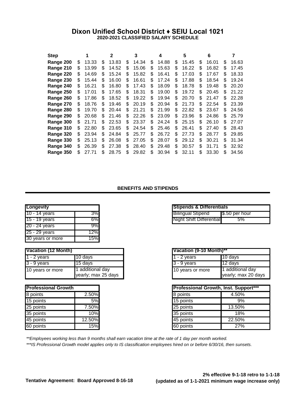# **Dixon Unified School District ♦ SEIU Local 1021 2020-2021 CLASSIFIED SALARY SCHEDULE**

| <b>Step</b> |     |       |    | 2     |     | 3     |     | 4     |     | 5     |     | 6     |    | 7     |
|-------------|-----|-------|----|-------|-----|-------|-----|-------|-----|-------|-----|-------|----|-------|
| Range 200   | \$  | 13.33 | \$ | 13.83 | \$  | 14.34 | \$  | 14.88 | S   | 15.45 | S   | 16.01 | S  | 16.63 |
| Range 210   | \$  | 13.99 | \$ | 14.52 | S   | 15.06 | S   | 15.63 | \$  | 16.22 | S   | 16.82 | \$ | 17.45 |
| Range 220   | \$  | 14.69 | S  | 15.24 | S   | 15.82 | \$  | 16.41 | S   | 17.03 | S   | 17.67 | S  | 18.33 |
| Range 230   | S   | 15.44 | S. | 16.00 | \$. | 16.61 | \$. | 17.24 | \$. | 17.88 | S   | 18.54 | S  | 19.24 |
| Range 240   | \$  | 16.21 | \$ | 16.80 | S   | 17.43 | \$  | 18.09 | S   | 18.78 | \$  | 19.48 | S  | 20.20 |
| Range 250   | \$  | 17.01 | \$ | 17.65 | \$  | 18.31 | \$  | 19.00 | \$  | 19.72 | \$  | 20.45 | \$ | 21.22 |
| Range 260   | S   | 17.86 | S  | 18.52 | S   | 19.22 | \$  | 19.94 | S   | 20.70 | S   | 21.47 | S  | 22.28 |
| Range 270   | S   | 18.76 | \$ | 19.46 | S   | 20.19 | \$  | 20.94 | S   | 21.73 | \$  | 22.54 | \$ | 23.39 |
| Range 280   | S   | 19.70 | S  | 20.44 | S   | 21.21 | S   | 21.99 | S   | 22.82 | S   | 23.67 | \$ | 24.56 |
| Range 290   | \$  | 20.68 | \$ | 21.46 | \$. | 22.26 | S   | 23.09 | S   | 23.96 | \$  | 24.86 | S  | 25.79 |
| Range 300   | \$  | 21.71 | \$ | 22.53 | \$. | 23.37 | S   | 24.24 | S   | 25.15 | \$  | 26.10 | S  | 27.07 |
| Range 310   | \$  | 22.80 | \$ | 23.65 | \$  | 24.54 | \$  | 25.46 | S   | 26.41 | \$. | 27.40 | \$ | 28.43 |
| Range 320   | \$  | 23.94 | S  | 24.84 | S   | 25.77 | \$  | 26.72 | S   | 27.73 | \$  | 28.77 | \$ | 29.85 |
| Range 330   | S   | 25.13 | S  | 26.08 | \$. | 27.05 | S   | 28.07 | S   | 29.12 | S   | 30.21 | S  | 31.34 |
| Range 340   | S   | 26.39 | \$ | 27.38 | S   | 28.40 | S   | 29.48 | S   | 30.57 | S   | 31.71 | \$ | 32.92 |
| Range 350   | \$. | 27.71 | \$ | 28.75 | \$. | 29.82 | \$  | 30.94 | \$  | 32.11 | \$. | 33.30 | \$ | 34.56 |

#### **BENEFITS AND STIPENDS**

| <b>Longevity</b> |     | <b>Stipends &amp; Differentials</b> |                      |
|------------------|-----|-------------------------------------|----------------------|
| 10 - 14 years    | 3%  | <b>Bilingual Stipend</b>            | $\sqrt{5.50}$ per ho |
| 15 - 19 years    | 6%  | Night Shift Differential            | 5%                   |
| 20 - 24 years    | 9%  |                                     |                      |
| 25 - 29 years    | 12% |                                     |                      |
| 30 years or more | 15% |                                     |                      |

| Vacation (12 Month)        |                                       | Vacation (9-10 Month)** |                                      |
|----------------------------|---------------------------------------|-------------------------|--------------------------------------|
| $\blacksquare$ 1 - 2 vears | 10 davs                               | - 2 vears               | l10 davs                             |
| $3 - 9$ years              | 15 davs                               | l3 - 9 vears            | l12 davs                             |
| 10 years or more           | additional day<br>yearly; max 25 days | 10 years or more        | 1 additional day<br>yearly; max 20 o |

| <b>Professional Growth</b> |          | <b>Professional Growth, Inst. Sup</b> |        |
|----------------------------|----------|---------------------------------------|--------|
| 8 points                   | $2.50\%$ | 8 points                              | 4.50%  |
| 15 points                  | 5%       | 15 points                             | 9%     |
| 25 points                  | 7.50%    | 25 points                             | 13.50% |
| 35 points                  | 10%      | 35 points                             | 18%    |
| 45 points                  | 12.50%   | 45 points                             | 22.50% |
| 60 points                  | 15%      | 60 points                             | 27%    |

| Longevity     |     | <b>Stipends &amp; Differentials</b> |                 |
|---------------|-----|-------------------------------------|-----------------|
| 10 - 14 vears | 3%  | <b>Bilingual Stipend</b>            | ∎\$.50 per hour |
| 15 - 19 vears | 5%L | Night Shift Differential            | 5%              |

|                                         | Vacation (9-10 Month)** |                                         |
|-----------------------------------------|-------------------------|-----------------------------------------|
| 10 days                                 | 11 - 2 vears            | 10 days                                 |
| 15 days                                 | $3 - 9$ years           | 12 days                                 |
| 1 additional day<br>yearly; max 25 days | 10 years or more        | 1 additional day<br>yearly; max 20 days |

| <b>Professional Growth</b> |        |           | Professional Growth, Inst. Support*** |
|----------------------------|--------|-----------|---------------------------------------|
| 8 points                   | 2.50%  | 8 points  | 4.50%                                 |
| 15 points                  | 5%     | 15 points | 9%                                    |
| 25 points                  | 7.50%  | 25 points | 13.50%                                |
| 35 points                  | $10\%$ | 35 points | 18%                                   |
| 45 points                  | 12.50% | 45 points | 22.50%                                |
| 60 points                  | 15%    | 60 points | 27%                                   |

*\*\*Employees working less than 9 months shall earn vacation time at the rate of 1 day per month worked.*

*\*\*\*IS Professional Growth model applies only to IS classification employees hired on or before 6/30/16, then sunsets.*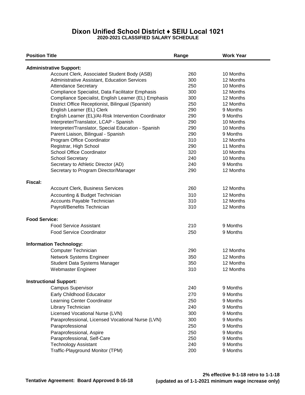# **Dixon Unified School District ♦ SEIU Local 1021 2020-2021 CLASSIFIED SALARY SCHEDULE**

| <b>Position Title</b>                                 | Range | <b>Work Year</b> |  |
|-------------------------------------------------------|-------|------------------|--|
| <b>Administrative Support:</b>                        |       |                  |  |
| Account Clerk, Associated Student Body (ASB)          | 260   | 10 Months        |  |
| Administrative Assistant, Education Services          | 300   | 12 Months        |  |
| <b>Attendance Secretary</b>                           | 250   | 10 Months        |  |
| Compliance Specialist, Data Facilitator Emphasis      | 300   | 12 Months        |  |
| Compliance Specialist, English Learner (EL) Emphasis  | 300   | 12 Months        |  |
| District Office Receptionist, Bilingual (Spanish)     | 250   | 12 Months        |  |
| English Learner (EL) Clerk                            | 290   | 9 Months         |  |
| English Learner (EL)/At-Risk Intervention Coordinator | 290   | 9 Months         |  |
| Interpreter/Translator, LCAP - Spanish                | 290   | 10 Months        |  |
| Interpreter/Translator, Special Education - Spanish   | 290   | 10 Months        |  |
| Parent Liaison, Bilingual - Spanish                   | 290   | 9 Months         |  |
| Program Office Coordinator                            | 310   | 12 Months        |  |
| Registrar, High School                                | 290   | 11 Months        |  |
| <b>School Office Coordinator</b>                      | 320   | 10 Months        |  |
| <b>School Secretary</b>                               | 240   | 10 Months        |  |
| Secretary to Athletic Director (AD)                   | 240   | 9 Months         |  |
| Secretary to Program Director/Manager                 | 290   | 12 Months        |  |
| Fiscal:                                               |       |                  |  |
| <b>Account Clerk, Business Services</b>               | 260   | 12 Months        |  |
| Accounting & Budget Technician                        | 310   | 12 Months        |  |
| Accounts Payable Technician                           | 310   | 12 Months        |  |
| Payroll/Benefits Technician                           | 310   | 12 Months        |  |
| <b>Food Service:</b>                                  |       |                  |  |
| <b>Food Service Assistant</b>                         | 210   | 9 Months         |  |
| <b>Food Service Coordinator</b>                       | 250   | 9 Months         |  |
| <b>Information Technology:</b>                        |       |                  |  |
| Computer Technician                                   | 290   | 12 Months        |  |
| Network Systems Engineer                              | 350   | 12 Months        |  |
| Student Data Systems Manager                          | 350   | 12 Months        |  |
| Webmaster Engineer                                    | 310   | 12 Months        |  |
| <b>Instructional Support:</b>                         |       |                  |  |
| Campus Supervisor                                     | 240   | 9 Months         |  |
| Early Childhood Educator                              | 270   | 9 Months         |  |
| Learning Center Coordinator                           | 250   | 9 Months         |  |
| Library Technician                                    | 240   | 9 Months         |  |
| Licensed Vocational Nurse (LVN)                       | 300   | 9 Months         |  |
| Paraprofessional, Licensed Vocational Nurse (LVN)     | 300   | 9 Months         |  |
| Paraprofessional                                      | 250   | 9 Months         |  |
| Paraprofessional, Aspire                              | 250   | 9 Months         |  |
| Paraprofessional, Self-Care                           | 250   | 9 Months         |  |
| <b>Technology Assistant</b>                           | 240   | 9 Months         |  |
| Traffic-Playground Monitor (TPM)                      | 200   | 9 Months         |  |